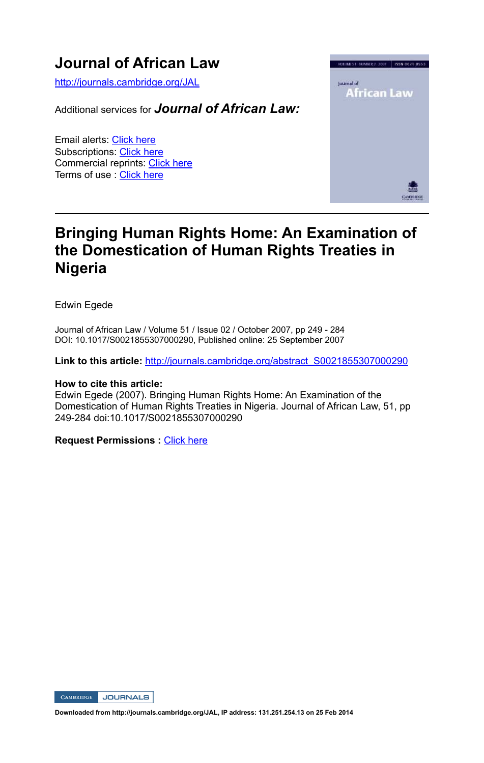# **Journal of African Law**

http://journals.cambridge.org/JAL

Additional services for *Journal of African Law:*

Email alerts: Click here Subscriptions: Click here Commercial reprints: Click here Terms of use : Click here



# **Bringing Human Rights Home: An Examination of the Domestication of Human Rights Treaties in Nigeria**

Edwin Egede

Journal of African Law / Volume 51 / Issue 02 / October 2007, pp 249 - 284 DOI: 10.1017/S0021855307000290, Published online: 25 September 2007

**Link to this article:** http://journals.cambridge.org/abstract\_S0021855307000290

#### **How to cite this article:**

Edwin Egede (2007). Bringing Human Rights Home: An Examination of the Domestication of Human Rights Treaties in Nigeria. Journal of African Law, 51, pp 249-284 doi:10.1017/S0021855307000290

#### **Request Permissions :** Click here

CAMBRIDGE JOURNALS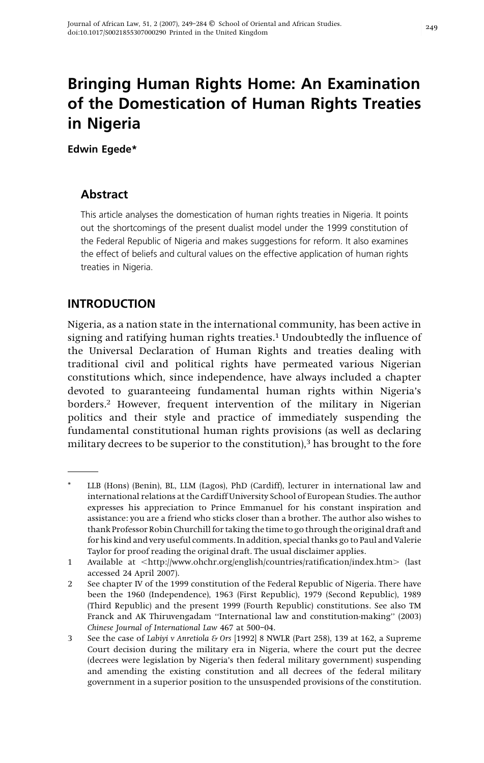# Bringing Human Rights Home: An Examination of the Domestication of Human Rights Treaties in Nigeria

Edwin Egede\*

# Abstract

This article analyses the domestication of human rights treaties in Nigeria. It points out the shortcomings of the present dualist model under the 1999 constitution of the Federal Republic of Nigeria and makes suggestions for reform. It also examines the effect of beliefs and cultural values on the effective application of human rights treaties in Nigeria.

# INTRODUCTION

Nigeria, as a nation state in the international community, has been active in signing and ratifying human rights treaties.<sup>1</sup> Undoubtedly the influence of the Universal Declaration of Human Rights and treaties dealing with traditional civil and political rights have permeated various Nigerian constitutions which, since independence, have always included a chapter devoted to guaranteeing fundamental human rights within Nigeria's borders.2 However, frequent intervention of the military in Nigerian politics and their style and practice of immediately suspending the fundamental constitutional human rights provisions (as well as declaring military decrees to be superior to the constitution),<sup>3</sup> has brought to the fore

LLB (Hons) (Benin), BL, LLM (Lagos), PhD (Cardiff), lecturer in international law and international relations at the Cardiff University School of European Studies. The author expresses his appreciation to Prince Emmanuel for his constant inspiration and assistance: you are a friend who sticks closer than a brother. The author also wishes to thank Professor Robin Churchill for taking the time to go through the original draft and for his kind and very useful comments. In addition, special thanks go to Paul and Valerie Taylor for proof reading the original draft. The usual disclaimer applies.

<sup>1</sup> Available at <http://www.ohchr.org/english/countries/ratification/index.htm> (last accessed 24 April 2007).

<sup>2</sup> See chapter IV of the 1999 constitution of the Federal Republic of Nigeria. There have been the 1960 (Independence), 1963 (First Republic), 1979 (Second Republic), 1989 (Third Republic) and the present 1999 (Fourth Republic) constitutions. See also TM Franck and AK Thiruvengadam ''International law and constitution-making'' (2003) Chinese Journal of International Law 467 at 500–04.

<sup>3</sup> See the case of Labiyi v Anretiola & Ors [1992] 8 NWLR (Part 258), 139 at 162, a Supreme Court decision during the military era in Nigeria, where the court put the decree (decrees were legislation by Nigeria's then federal military government) suspending and amending the existing constitution and all decrees of the federal military government in a superior position to the unsuspended provisions of the constitution.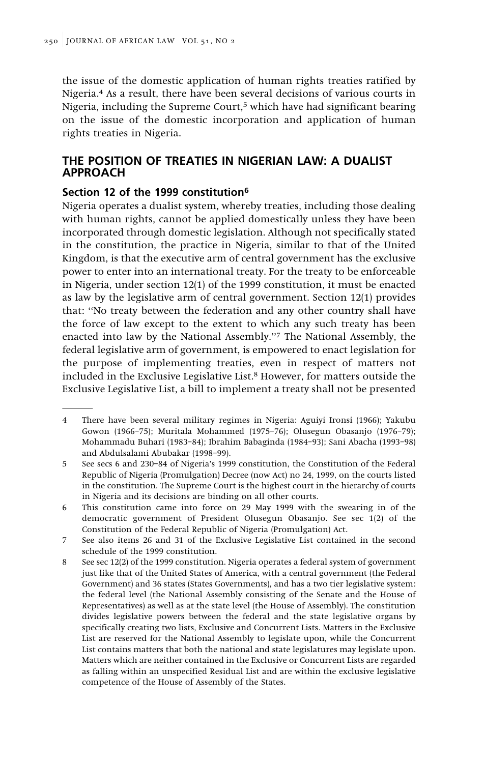the issue of the domestic application of human rights treaties ratified by Nigeria.4 As a result, there have been several decisions of various courts in Nigeria, including the Supreme Court,<sup>5</sup> which have had significant bearing on the issue of the domestic incorporation and application of human rights treaties in Nigeria.

# THE POSITION OF TREATIES IN NIGERIAN LAW: A DUALIST APPROACH

## Section 12 of the 1999 constitution<sup>6</sup>

Nigeria operates a dualist system, whereby treaties, including those dealing with human rights, cannot be applied domestically unless they have been incorporated through domestic legislation. Although not specifically stated in the constitution, the practice in Nigeria, similar to that of the United Kingdom, is that the executive arm of central government has the exclusive power to enter into an international treaty. For the treaty to be enforceable in Nigeria, under section 12(1) of the 1999 constitution, it must be enacted as law by the legislative arm of central government. Section 12(1) provides that: ''No treaty between the federation and any other country shall have the force of law except to the extent to which any such treaty has been enacted into law by the National Assembly.''<sup>7</sup> The National Assembly, the federal legislative arm of government, is empowered to enact legislation for the purpose of implementing treaties, even in respect of matters not included in the Exclusive Legislative List.<sup>8</sup> However, for matters outside the Exclusive Legislative List, a bill to implement a treaty shall not be presented

<sup>4</sup> There have been several military regimes in Nigeria: Aguiyi Ironsi (1966); Yakubu Gowon (1966–75); Muritala Mohammed (1975–76); Olusegun Obasanjo (1976–79); Mohammadu Buhari (1983–84); Ibrahim Babaginda (1984–93); Sani Abacha (1993–98) and Abdulsalami Abubakar (1998–99).

<sup>5</sup> See secs 6 and 230–84 of Nigeria's 1999 constitution, the Constitution of the Federal Republic of Nigeria (Promulgation) Decree (now Act) no 24, 1999, on the courts listed in the constitution. The Supreme Court is the highest court in the hierarchy of courts in Nigeria and its decisions are binding on all other courts.

<sup>6</sup> This constitution came into force on 29 May 1999 with the swearing in of the democratic government of President Olusegun Obasanjo. See sec 1(2) of the Constitution of the Federal Republic of Nigeria (Promulgation) Act.

<sup>7</sup> See also items 26 and 31 of the Exclusive Legislative List contained in the second schedule of the 1999 constitution.

<sup>8</sup> See sec 12(2) of the 1999 constitution. Nigeria operates a federal system of government just like that of the United States of America, with a central government (the Federal Government) and 36 states (States Governments), and has a two tier legislative system: the federal level (the National Assembly consisting of the Senate and the House of Representatives) as well as at the state level (the House of Assembly). The constitution divides legislative powers between the federal and the state legislative organs by specifically creating two lists, Exclusive and Concurrent Lists. Matters in the Exclusive List are reserved for the National Assembly to legislate upon, while the Concurrent List contains matters that both the national and state legislatures may legislate upon. Matters which are neither contained in the Exclusive or Concurrent Lists are regarded as falling within an unspecified Residual List and are within the exclusive legislative competence of the House of Assembly of the States.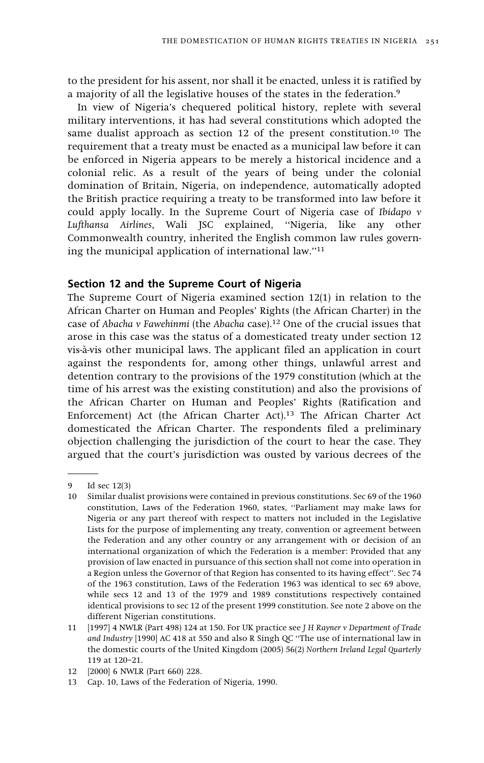to the president for his assent, nor shall it be enacted, unless it is ratified by a majority of all the legislative houses of the states in the federation.<sup>9</sup>

In view of Nigeria's chequered political history, replete with several military interventions, it has had several constitutions which adopted the same dualist approach as section 12 of the present constitution.<sup>10</sup> The requirement that a treaty must be enacted as a municipal law before it can be enforced in Nigeria appears to be merely a historical incidence and a colonial relic. As a result of the years of being under the colonial domination of Britain, Nigeria, on independence, automatically adopted the British practice requiring a treaty to be transformed into law before it could apply locally. In the Supreme Court of Nigeria case of Ibidapo v Lufthansa Airlines, Wali JSC explained, ''Nigeria, like any other Commonwealth country, inherited the English common law rules governing the municipal application of international law.''11

#### Section 12 and the Supreme Court of Nigeria

The Supreme Court of Nigeria examined section 12(1) in relation to the African Charter on Human and Peoples' Rights (the African Charter) in the case of Abacha v Fawehinmi (the Abacha case).<sup>12</sup> One of the crucial issues that arose in this case was the status of a domesticated treaty under section 12 vis-à-vis other municipal laws. The applicant filed an application in court against the respondents for, among other things, unlawful arrest and detention contrary to the provisions of the 1979 constitution (which at the time of his arrest was the existing constitution) and also the provisions of the African Charter on Human and Peoples' Rights (Ratification and Enforcement) Act (the African Charter Act).13 The African Charter Act domesticated the African Charter. The respondents filed a preliminary objection challenging the jurisdiction of the court to hear the case. They argued that the court's jurisdiction was ousted by various decrees of the

<sup>9</sup> Id sec 12(3)

<sup>10</sup> Similar dualist provisions were contained in previous constitutions. Sec 69 of the 1960 constitution, Laws of the Federation 1960, states, ''Parliament may make laws for Nigeria or any part thereof with respect to matters not included in the Legislative Lists for the purpose of implementing any treaty, convention or agreement between the Federation and any other country or any arrangement with or decision of an international organization of which the Federation is a member: Provided that any provision of law enacted in pursuance of this section shall not come into operation in a Region unless the Governor of that Region has consented to its having effect''. Sec 74 of the 1963 constitution, Laws of the Federation 1963 was identical to sec 69 above, while secs 12 and 13 of the 1979 and 1989 constitutions respectively contained identical provisions to sec 12 of the present 1999 constitution. See note 2 above on the different Nigerian constitutions.

<sup>11 [1997] 4</sup> NWLR (Part 498) 124 at 150. For UK practice see J H Rayner v Department of Trade and Industry [1990] AC 418 at 550 and also R Singh QC ''The use of international law in the domestic courts of the United Kingdom (2005) 56(2) Northern Ireland Legal Quarterly 119 at 120–21.

<sup>12 [2000] 6</sup> NWLR (Part 660) 228.

<sup>13</sup> Cap. 10, Laws of the Federation of Nigeria, 1990.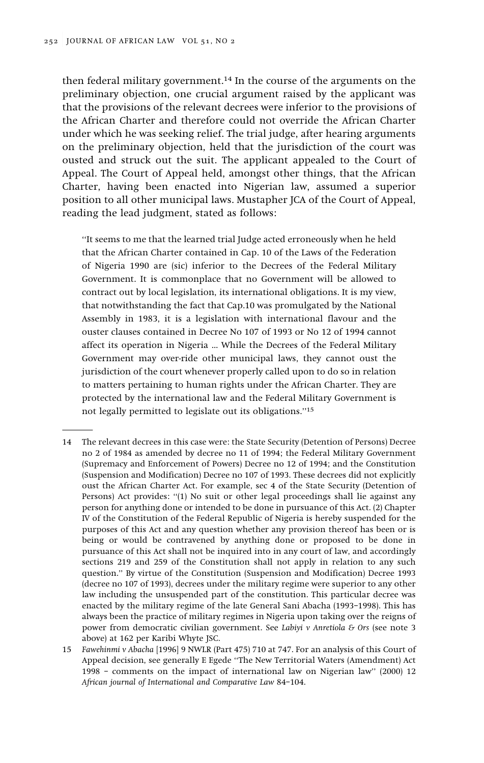then federal military government.<sup>14</sup> In the course of the arguments on the preliminary objection, one crucial argument raised by the applicant was that the provisions of the relevant decrees were inferior to the provisions of the African Charter and therefore could not override the African Charter under which he was seeking relief. The trial judge, after hearing arguments on the preliminary objection, held that the jurisdiction of the court was ousted and struck out the suit. The applicant appealed to the Court of Appeal. The Court of Appeal held, amongst other things, that the African Charter, having been enacted into Nigerian law, assumed a superior position to all other municipal laws. Mustapher JCA of the Court of Appeal, reading the lead judgment, stated as follows:

''It seems to me that the learned trial Judge acted erroneously when he held that the African Charter contained in Cap. 10 of the Laws of the Federation of Nigeria 1990 are (sic) inferior to the Decrees of the Federal Military Government. It is commonplace that no Government will be allowed to contract out by local legislation, its international obligations. It is my view, that notwithstanding the fact that Cap.10 was promulgated by the National Assembly in 1983, it is a legislation with international flavour and the ouster clauses contained in Decree No 107 of 1993 or No 12 of 1994 cannot affect its operation in Nigeria … While the Decrees of the Federal Military Government may over-ride other municipal laws, they cannot oust the jurisdiction of the court whenever properly called upon to do so in relation to matters pertaining to human rights under the African Charter. They are protected by the international law and the Federal Military Government is not legally permitted to legislate out its obligations.''<sup>15</sup>

<sup>14</sup> The relevant decrees in this case were: the State Security (Detention of Persons) Decree no 2 of 1984 as amended by decree no 11 of 1994; the Federal Military Government (Supremacy and Enforcement of Powers) Decree no 12 of 1994; and the Constitution (Suspension and Modification) Decree no 107 of 1993. These decrees did not explicitly oust the African Charter Act. For example, sec 4 of the State Security (Detention of Persons) Act provides: "(1) No suit or other legal proceedings shall lie against any person for anything done or intended to be done in pursuance of this Act. (2) Chapter IV of the Constitution of the Federal Republic of Nigeria is hereby suspended for the purposes of this Act and any question whether any provision thereof has been or is being or would be contravened by anything done or proposed to be done in pursuance of this Act shall not be inquired into in any court of law, and accordingly sections 219 and 259 of the Constitution shall not apply in relation to any such question.'' By virtue of the Constitution (Suspension and Modification) Decree 1993 (decree no 107 of 1993), decrees under the military regime were superior to any other law including the unsuspended part of the constitution. This particular decree was enacted by the military regime of the late General Sani Abacha (1993–1998). This has always been the practice of military regimes in Nigeria upon taking over the reigns of power from democratic civilian government. See Labiyi v Anretiola & Ors (see note 3 above) at 162 per Karibi Whyte JSC.

<sup>15</sup> Fawehinmi v Abacha [1996] 9 NWLR (Part 475) 710 at 747. For an analysis of this Court of Appeal decision, see generally E Egede ''The New Territorial Waters (Amendment) Act 1998 – comments on the impact of international law on Nigerian law'' (2000) 12 African journal of International and Comparative Law 84–104.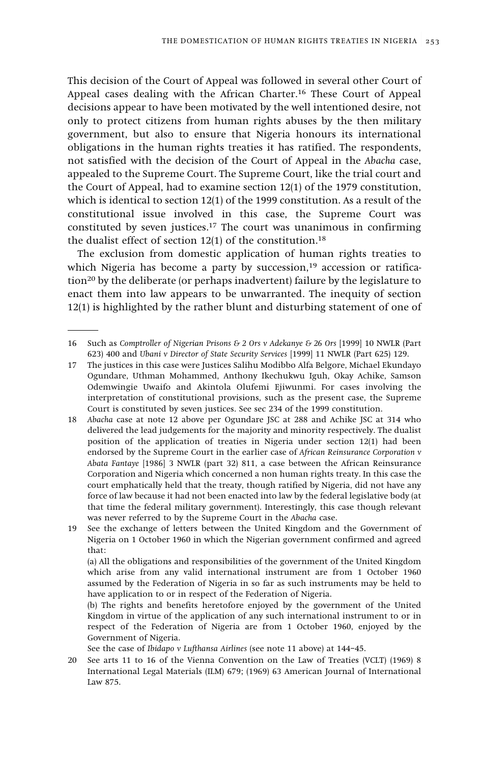This decision of the Court of Appeal was followed in several other Court of Appeal cases dealing with the African Charter.<sup>16</sup> These Court of Appeal decisions appear to have been motivated by the well intentioned desire, not only to protect citizens from human rights abuses by the then military government, but also to ensure that Nigeria honours its international obligations in the human rights treaties it has ratified. The respondents, not satisfied with the decision of the Court of Appeal in the Abacha case, appealed to the Supreme Court. The Supreme Court, like the trial court and the Court of Appeal, had to examine section 12(1) of the 1979 constitution, which is identical to section 12(1) of the 1999 constitution. As a result of the constitutional issue involved in this case, the Supreme Court was constituted by seven justices.<sup>17</sup> The court was unanimous in confirming the dualist effect of section 12(1) of the constitution.<sup>18</sup>

The exclusion from domestic application of human rights treaties to which Nigeria has become a party by succession, $19$  accession or ratification<sup>20</sup> by the deliberate (or perhaps inadvertent) failure by the legislature to enact them into law appears to be unwarranted. The inequity of section 12(1) is highlighted by the rather blunt and disturbing statement of one of

(a) All the obligations and responsibilities of the government of the United Kingdom which arise from any valid international instrument are from 1 October 1960 assumed by the Federation of Nigeria in so far as such instruments may be held to have application to or in respect of the Federation of Nigeria.

(b) The rights and benefits heretofore enjoyed by the government of the United Kingdom in virtue of the application of any such international instrument to or in respect of the Federation of Nigeria are from 1 October 1960, enjoyed by the Government of Nigeria.

See the case of Ibidapo v Lufthansa Airlines (see note 11 above) at 144–45.

20 See arts 11 to 16 of the Vienna Convention on the Law of Treaties (VCLT) (1969) 8 International Legal Materials (ILM) 679; (1969) 63 American Journal of International Law 875.

<sup>16</sup> Such as Comptroller of Nigerian Prisons & 2 Ors v Adekanye & 26 Ors [1999] 10 NWLR (Part 623) 400 and Ubani v Director of State Security Services [1999] 11 NWLR (Part 625) 129.

<sup>17</sup> The justices in this case were Justices Salihu Modibbo Alfa Belgore, Michael Ekundayo Ogundare, Uthman Mohammed, Anthony Ikechukwu Iguh, Okay Achike, Samson Odemwingie Uwaifo and Akintola Olufemi Ejiwunmi. For cases involving the interpretation of constitutional provisions, such as the present case, the Supreme Court is constituted by seven justices. See sec 234 of the 1999 constitution.

<sup>18</sup> Abacha case at note 12 above per Ogundare JSC at 288 and Achike JSC at 314 who delivered the lead judgements for the majority and minority respectively. The dualist position of the application of treaties in Nigeria under section 12(1) had been endorsed by the Supreme Court in the earlier case of African Reinsurance Corporation  $\nu$ Abata Fantaye [1986] 3 NWLR (part 32) 811, a case between the African Reinsurance Corporation and Nigeria which concerned a non human rights treaty. In this case the court emphatically held that the treaty, though ratified by Nigeria, did not have any force of law because it had not been enacted into law by the federal legislative body (at that time the federal military government). Interestingly, this case though relevant was never referred to by the Supreme Court in the Abacha case.

<sup>19</sup> See the exchange of letters between the United Kingdom and the Government of Nigeria on 1 October 1960 in which the Nigerian government confirmed and agreed that: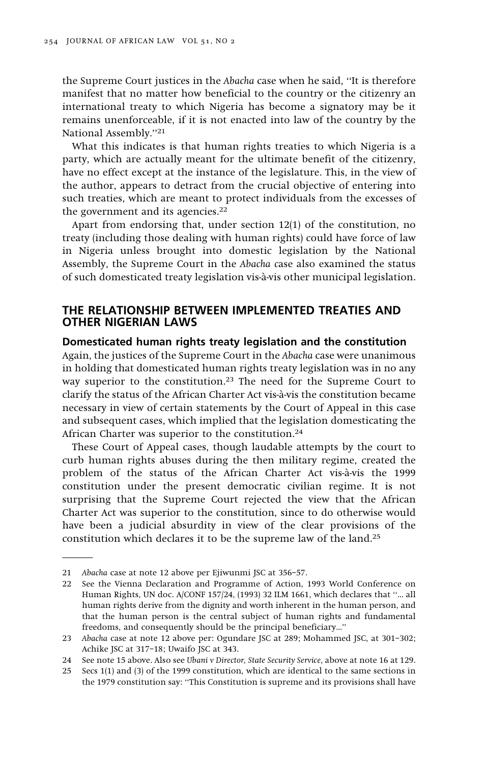the Supreme Court justices in the Abacha case when he said, ''It is therefore manifest that no matter how beneficial to the country or the citizenry an international treaty to which Nigeria has become a signatory may be it remains unenforceable, if it is not enacted into law of the country by the National Assembly.''<sup>21</sup>

What this indicates is that human rights treaties to which Nigeria is a party, which are actually meant for the ultimate benefit of the citizenry, have no effect except at the instance of the legislature. This, in the view of the author, appears to detract from the crucial objective of entering into such treaties, which are meant to protect individuals from the excesses of the government and its agencies.<sup>22</sup>

Apart from endorsing that, under section 12(1) of the constitution, no treaty (including those dealing with human rights) could have force of law in Nigeria unless brought into domestic legislation by the National Assembly, the Supreme Court in the Abacha case also examined the status of such domesticated treaty legislation vis-a`-vis other municipal legislation.

## THE RELATIONSHIP BETWEEN IMPLEMENTED TREATIES AND OTHER NIGERIAN LAWS

## Domesticated human rights treaty legislation and the constitution

Again, the justices of the Supreme Court in the Abacha case were unanimous in holding that domesticated human rights treaty legislation was in no any way superior to the constitution.<sup>23</sup> The need for the Supreme Court to clarify the status of the African Charter Act vis-à-vis the constitution became necessary in view of certain statements by the Court of Appeal in this case and subsequent cases, which implied that the legislation domesticating the African Charter was superior to the constitution.<sup>24</sup>

These Court of Appeal cases, though laudable attempts by the court to curb human rights abuses during the then military regime, created the problem of the status of the African Charter Act vis-a`-vis the 1999 constitution under the present democratic civilian regime. It is not surprising that the Supreme Court rejected the view that the African Charter Act was superior to the constitution, since to do otherwise would have been a judicial absurdity in view of the clear provisions of the constitution which declares it to be the supreme law of the land.<sup>25</sup>

<sup>21</sup> Abacha case at note 12 above per Ejiwunmi JSC at 356–57.

<sup>22</sup> See the Vienna Declaration and Programme of Action, 1993 World Conference on Human Rights, UN doc. A/CONF 157/24, (1993) 32 ILM 1661, which declares that ''… all human rights derive from the dignity and worth inherent in the human person, and that the human person is the central subject of human rights and fundamental freedoms, and consequently should be the principal beneficiary…''

<sup>23</sup> Abacha case at note 12 above per: Ogundare JSC at 289; Mohammed JSC, at 301–302; Achike JSC at 317–18; Uwaifo JSC at 343.

<sup>24</sup> See note 15 above. Also see Ubani v Director, State Security Service, above at note 16 at 129.

<sup>25</sup> Secs 1(1) and (3) of the 1999 constitution, which are identical to the same sections in the 1979 constitution say: ''This Constitution is supreme and its provisions shall have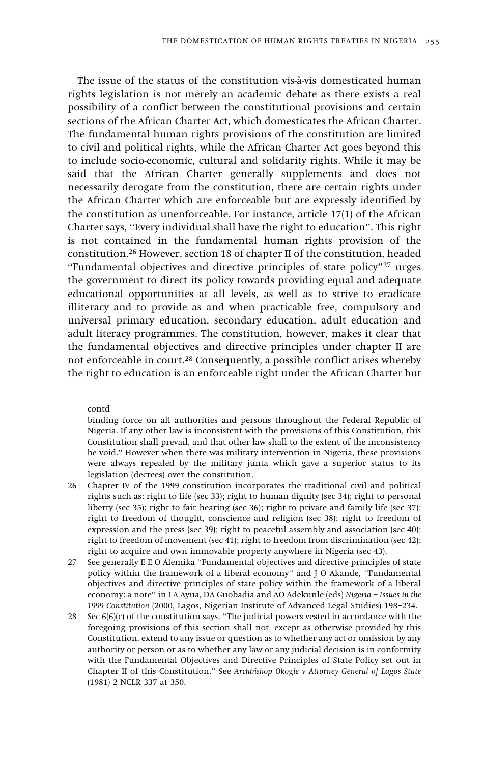The issue of the status of the constitution vis-à-vis domesticated human rights legislation is not merely an academic debate as there exists a real possibility of a conflict between the constitutional provisions and certain sections of the African Charter Act, which domesticates the African Charter. The fundamental human rights provisions of the constitution are limited to civil and political rights, while the African Charter Act goes beyond this to include socio-economic, cultural and solidarity rights. While it may be said that the African Charter generally supplements and does not necessarily derogate from the constitution, there are certain rights under the African Charter which are enforceable but are expressly identified by the constitution as unenforceable. For instance, article 17(1) of the African Charter says, ''Every individual shall have the right to education''. This right is not contained in the fundamental human rights provision of the constitution.<sup>26</sup> However, section 18 of chapter II of the constitution, headed ''Fundamental objectives and directive principles of state policy''<sup>27</sup> urges the government to direct its policy towards providing equal and adequate educational opportunities at all levels, as well as to strive to eradicate illiteracy and to provide as and when practicable free, compulsory and universal primary education, secondary education, adult education and adult literacy programmes. The constitution, however, makes it clear that the fundamental objectives and directive principles under chapter II are not enforceable in court.<sup>28</sup> Consequently, a possible conflict arises whereby the right to education is an enforceable right under the African Charter but

#### contd

binding force on all authorities and persons throughout the Federal Republic of Nigeria. If any other law is inconsistent with the provisions of this Constitution, this Constitution shall prevail, and that other law shall to the extent of the inconsistency be void.'' However when there was military intervention in Nigeria, these provisions were always repealed by the military junta which gave a superior status to its legislation (decrees) over the constitution.

<sup>26</sup> Chapter IV of the 1999 constitution incorporates the traditional civil and political rights such as: right to life (sec 33); right to human dignity (sec 34); right to personal liberty (sec 35); right to fair hearing (sec 36); right to private and family life (sec 37); right to freedom of thought, conscience and religion (sec 38); right to freedom of expression and the press (sec 39); right to peaceful assembly and association (sec 40); right to freedom of movement (sec 41); right to freedom from discrimination (sec 42); right to acquire and own immovable property anywhere in Nigeria (sec 43).

<sup>27</sup> See generally E E O Alemika ''Fundamental objectives and directive principles of state policy within the framework of a liberal economy'' and J O Akande, ''Fundamental objectives and directive principles of state policy within the framework of a liberal economy: a note'' in I A Ayua, DA Guobadia and AO Adekunle (eds) Nigeria – Issues in the 1999 Constitution (2000, Lagos, Nigerian Institute of Advanced Legal Studies) 198–234.

<sup>28</sup> Sec 6(6)(c) of the constitution says, ''The judicial powers vested in accordance with the foregoing provisions of this section shall not, except as otherwise provided by this Constitution, extend to any issue or question as to whether any act or omission by any authority or person or as to whether any law or any judicial decision is in conformity with the Fundamental Objectives and Directive Principles of State Policy set out in Chapter II of this Constitution.'' See Archbishop Okogie v Attorney General of Lagos State (1981) 2 NCLR 337 at 350.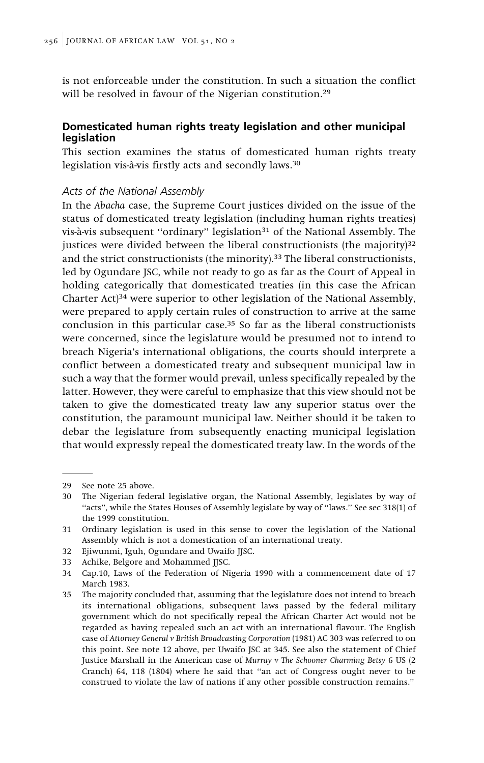is not enforceable under the constitution. In such a situation the conflict will be resolved in favour of the Nigerian constitution.<sup>29</sup>

## Domesticated human rights treaty legislation and other municipal legislation

This section examines the status of domesticated human rights treaty legislation vis-à-vis firstly acts and secondly laws.<sup>30</sup>

#### Acts of the National Assembly

In the Abacha case, the Supreme Court justices divided on the issue of the status of domesticated treaty legislation (including human rights treaties) vis-à-vis subsequent "ordinary" legislation<sup>31</sup> of the National Assembly. The justices were divided between the liberal constructionists (the majority) $32$ and the strict constructionists (the minority).33 The liberal constructionists, led by Ogundare JSC, while not ready to go as far as the Court of Appeal in holding categorically that domesticated treaties (in this case the African Charter Act)<sup>34</sup> were superior to other legislation of the National Assembly, were prepared to apply certain rules of construction to arrive at the same conclusion in this particular case.<sup>35</sup> So far as the liberal constructionists were concerned, since the legislature would be presumed not to intend to breach Nigeria's international obligations, the courts should interprete a conflict between a domesticated treaty and subsequent municipal law in such a way that the former would prevail, unless specifically repealed by the latter. However, they were careful to emphasize that this view should not be taken to give the domesticated treaty law any superior status over the constitution, the paramount municipal law. Neither should it be taken to debar the legislature from subsequently enacting municipal legislation that would expressly repeal the domesticated treaty law. In the words of the

- 32 Ejiwunmi, Iguh, Ogundare and Uwaifo JJSC.
- 33 Achike, Belgore and Mohammed JJSC.

<sup>29</sup> See note 25 above.

<sup>30</sup> The Nigerian federal legislative organ, the National Assembly, legislates by way of "acts", while the States Houses of Assembly legislate by way of "laws." See sec 318(1) of the 1999 constitution.

<sup>31</sup> Ordinary legislation is used in this sense to cover the legislation of the National Assembly which is not a domestication of an international treaty.

<sup>34</sup> Cap.10, Laws of the Federation of Nigeria 1990 with a commencement date of 17 March 1983.

<sup>35</sup> The majority concluded that, assuming that the legislature does not intend to breach its international obligations, subsequent laws passed by the federal military government which do not specifically repeal the African Charter Act would not be regarded as having repealed such an act with an international flavour. The English case of Attorney General v British Broadcasting Corporation (1981) AC 303 was referred to on this point. See note 12 above, per Uwaifo JSC at 345. See also the statement of Chief Justice Marshall in the American case of Murray v The Schooner Charming Betsy 6 US (2 Cranch) 64, 118 (1804) where he said that ''an act of Congress ought never to be construed to violate the law of nations if any other possible construction remains.''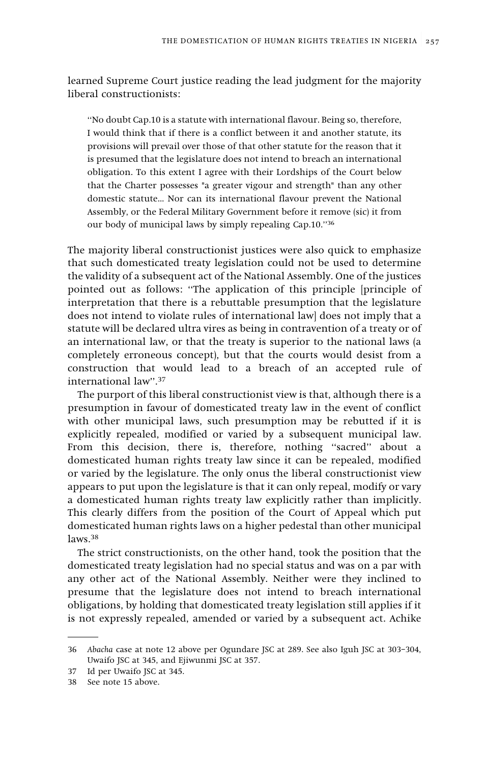learned Supreme Court justice reading the lead judgment for the majority liberal constructionists:

''No doubt Cap.10 is a statute with international flavour. Being so, therefore, I would think that if there is a conflict between it and another statute, its provisions will prevail over those of that other statute for the reason that it is presumed that the legislature does not intend to breach an international obligation. To this extent I agree with their Lordships of the Court below that the Charter possesses "a greater vigour and strength" than any other domestic statute… Nor can its international flavour prevent the National Assembly, or the Federal Military Government before it remove (sic) it from our body of municipal laws by simply repealing Cap.10.''36

The majority liberal constructionist justices were also quick to emphasize that such domesticated treaty legislation could not be used to determine the validity of a subsequent act of the National Assembly. One of the justices pointed out as follows: ''The application of this principle [principle of interpretation that there is a rebuttable presumption that the legislature does not intend to violate rules of international law| does not imply that a statute will be declared ultra vires as being in contravention of a treaty or of an international law, or that the treaty is superior to the national laws (a completely erroneous concept), but that the courts would desist from a construction that would lead to a breach of an accepted rule of international law''.<sup>37</sup>

The purport of this liberal constructionist view is that, although there is a presumption in favour of domesticated treaty law in the event of conflict with other municipal laws, such presumption may be rebutted if it is explicitly repealed, modified or varied by a subsequent municipal law. From this decision, there is, therefore, nothing ''sacred'' about a domesticated human rights treaty law since it can be repealed, modified or varied by the legislature. The only onus the liberal constructionist view appears to put upon the legislature is that it can only repeal, modify or vary a domesticated human rights treaty law explicitly rather than implicitly. This clearly differs from the position of the Court of Appeal which put domesticated human rights laws on a higher pedestal than other municipal laws.38

The strict constructionists, on the other hand, took the position that the domesticated treaty legislation had no special status and was on a par with any other act of the National Assembly. Neither were they inclined to presume that the legislature does not intend to breach international obligations, by holding that domesticated treaty legislation still applies if it is not expressly repealed, amended or varied by a subsequent act. Achike

<sup>36</sup> Abacha case at note 12 above per Ogundare JSC at 289. See also Iguh JSC at 303–304, Uwaifo JSC at 345, and Ejiwunmi JSC at 357.

<sup>37</sup> Id per Uwaifo JSC at 345.

<sup>38</sup> See note 15 above.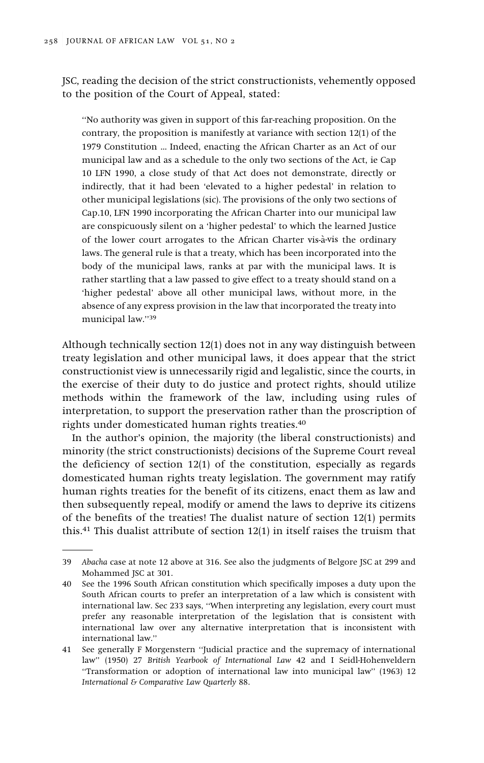JSC, reading the decision of the strict constructionists, vehemently opposed to the position of the Court of Appeal, stated:

''No authority was given in support of this far-reaching proposition. On the contrary, the proposition is manifestly at variance with section 12(1) of the 1979 Constitution … Indeed, enacting the African Charter as an Act of our municipal law and as a schedule to the only two sections of the Act, ie Cap 10 LFN 1990, a close study of that Act does not demonstrate, directly or indirectly, that it had been 'elevated to a higher pedestal' in relation to other municipal legislations (sic). The provisions of the only two sections of Cap.10, LFN 1990 incorporating the African Charter into our municipal law are conspicuously silent on a 'higher pedestal' to which the learned Justice of the lower court arrogates to the African Charter vis-à-vis the ordinary laws. The general rule is that a treaty, which has been incorporated into the body of the municipal laws, ranks at par with the municipal laws. It is rather startling that a law passed to give effect to a treaty should stand on a 'higher pedestal' above all other municipal laws, without more, in the absence of any express provision in the law that incorporated the treaty into municipal law.''<sup>39</sup>

Although technically section 12(1) does not in any way distinguish between treaty legislation and other municipal laws, it does appear that the strict constructionist view is unnecessarily rigid and legalistic, since the courts, in the exercise of their duty to do justice and protect rights, should utilize methods within the framework of the law, including using rules of interpretation, to support the preservation rather than the proscription of rights under domesticated human rights treaties.<sup>40</sup>

In the author's opinion, the majority (the liberal constructionists) and minority (the strict constructionists) decisions of the Supreme Court reveal the deficiency of section 12(1) of the constitution, especially as regards domesticated human rights treaty legislation. The government may ratify human rights treaties for the benefit of its citizens, enact them as law and then subsequently repeal, modify or amend the laws to deprive its citizens of the benefits of the treaties! The dualist nature of section 12(1) permits this.41 This dualist attribute of section 12(1) in itself raises the truism that

<sup>39</sup> Abacha case at note 12 above at 316. See also the judgments of Belgore JSC at 299 and Mohammed JSC at 301.

<sup>40</sup> See the 1996 South African constitution which specifically imposes a duty upon the South African courts to prefer an interpretation of a law which is consistent with international law. Sec 233 says, ''When interpreting any legislation, every court must prefer any reasonable interpretation of the legislation that is consistent with international law over any alternative interpretation that is inconsistent with international law.''

<sup>41</sup> See generally F Morgenstern ''Judicial practice and the supremacy of international law'' (1950) 27 British Yearbook of International Law 42 and I Seidl-Hohenveldern ''Transformation or adoption of international law into municipal law'' (1963) 12 International & Comparative Law Quarterly 88.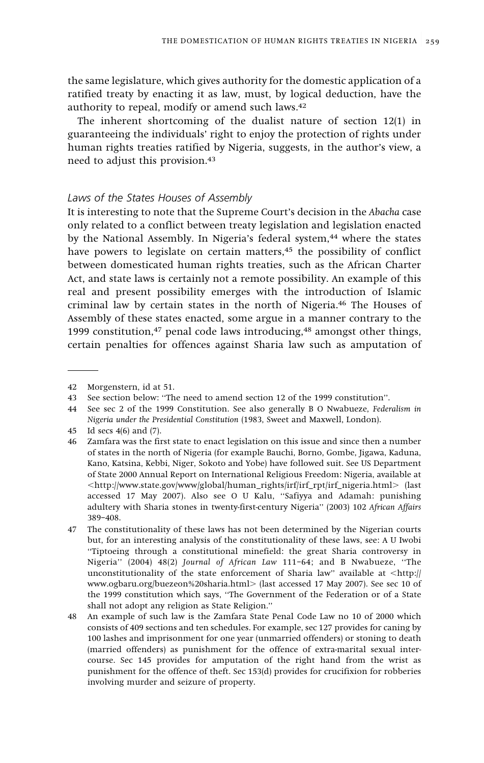the same legislature, which gives authority for the domestic application of a ratified treaty by enacting it as law, must, by logical deduction, have the authority to repeal, modify or amend such laws.<sup>42</sup>

The inherent shortcoming of the dualist nature of section 12(1) in guaranteeing the individuals' right to enjoy the protection of rights under human rights treaties ratified by Nigeria, suggests, in the author's view, a need to adjust this provision.<sup>43</sup>

#### Laws of the States Houses of Assembly

It is interesting to note that the Supreme Court's decision in the Abacha case only related to a conflict between treaty legislation and legislation enacted by the National Assembly. In Nigeria's federal system,<sup>44</sup> where the states have powers to legislate on certain matters,<sup>45</sup> the possibility of conflict between domesticated human rights treaties, such as the African Charter Act, and state laws is certainly not a remote possibility. An example of this real and present possibility emerges with the introduction of Islamic criminal law by certain states in the north of Nigeria.<sup>46</sup> The Houses of Assembly of these states enacted, some argue in a manner contrary to the 1999 constitution, $4^7$  penal code laws introducing, $4^8$  amongst other things, certain penalties for offences against Sharia law such as amputation of

<sup>42</sup> Morgenstern, id at 51.

<sup>43</sup> See section below: ''The need to amend section 12 of the 1999 constitution''.

<sup>44</sup> See sec 2 of the 1999 Constitution. See also generally B O Nwabueze, Federalism in Nigeria under the Presidential Constitution (1983, Sweet and Maxwell, London).

<sup>45</sup> Id secs 4(6) and (7).

<sup>46</sup> Zamfara was the first state to enact legislation on this issue and since then a number of states in the north of Nigeria (for example Bauchi, Borno, Gombe, Jigawa, Kaduna, Kano, Katsina, Kebbi, Niger, Sokoto and Yobe) have followed suit. See US Department of State 2000 Annual Report on International Religious Freedom: Nigeria, available at ,http://www.state.gov/www/global/human\_rights/irf/irf\_rpt/irf\_nigeria.html. (last accessed 17 May 2007). Also see O U Kalu, ''Safiyya and Adamah: punishing adultery with Sharia stones in twenty-first-century Nigeria'' (2003) 102 African Affairs 389–408.

<sup>47</sup> The constitutionality of these laws has not been determined by the Nigerian courts but, for an interesting analysis of the constitutionality of these laws, see: A U Iwobi ''Tiptoeing through a constitutional minefield: the great Sharia controversy in Nigeria'' (2004) 48(2) Journal of African Law 111–64; and B Nwabueze, ''The unconstitutionality of the state enforcement of Sharia law" available at  $<$ http:// www.ogbaru.org/buezeon%20sharia.html> (last accessed 17 May 2007). See sec 10 of the 1999 constitution which says, ''The Government of the Federation or of a State shall not adopt any religion as State Religion.''

<sup>48</sup> An example of such law is the Zamfara State Penal Code Law no 10 of 2000 which consists of 409 sections and ten schedules. For example, sec 127 provides for caning by 100 lashes and imprisonment for one year (unmarried offenders) or stoning to death (married offenders) as punishment for the offence of extra-marital sexual intercourse. Sec 145 provides for amputation of the right hand from the wrist as punishment for the offence of theft. Sec 153(d) provides for crucifixion for robberies involving murder and seizure of property.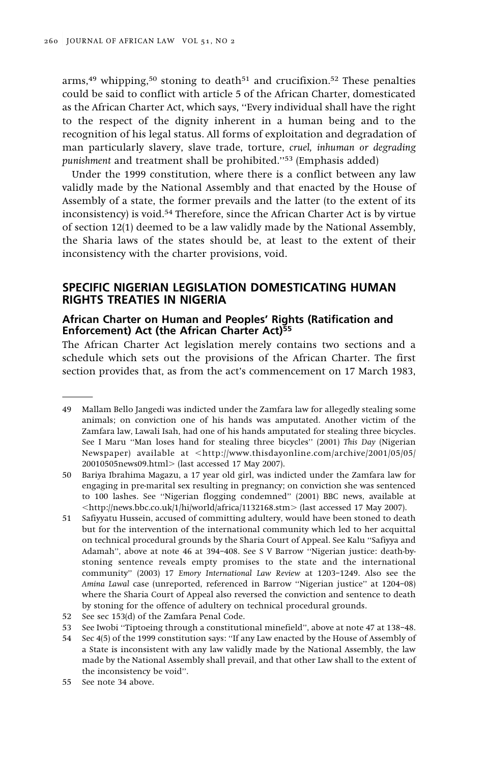$arms,49$  whipping,<sup>50</sup> stoning to death<sup>51</sup> and crucifixion.<sup>52</sup> These penalties could be said to conflict with article 5 of the African Charter, domesticated as the African Charter Act, which says, ''Every individual shall have the right to the respect of the dignity inherent in a human being and to the recognition of his legal status. All forms of exploitation and degradation of man particularly slavery, slave trade, torture, cruel, inhuman or degrading punishment and treatment shall be prohibited.''<sup>53</sup> (Emphasis added)

Under the 1999 constitution, where there is a conflict between any law validly made by the National Assembly and that enacted by the House of Assembly of a state, the former prevails and the latter (to the extent of its inconsistency) is void.<sup>54</sup> Therefore, since the African Charter Act is by virtue of section 12(1) deemed to be a law validly made by the National Assembly, the Sharia laws of the states should be, at least to the extent of their inconsistency with the charter provisions, void.

## SPECIFIC NIGERIAN LEGISLATION DOMESTICATING HUMAN RIGHTS TREATIES IN NIGERIA

#### African Charter on Human and Peoples' Rights (Ratification and Enforcement) Act (the African Charter Act)<sup>55</sup>

The African Charter Act legislation merely contains two sections and a schedule which sets out the provisions of the African Charter. The first section provides that, as from the act's commencement on 17 March 1983,

55 See note 34 above.

<sup>49</sup> Mallam Bello Jangedi was indicted under the Zamfara law for allegedly stealing some animals; on conviction one of his hands was amputated. Another victim of the Zamfara law, Lawali Isah, had one of his hands amputated for stealing three bicycles. See I Maru ''Man loses hand for stealing three bicycles'' (2001) This Day (Nigerian Newspaper) available at <http://www.thisdayonline.com/archive/2001/05/05/ 20010505news09.html> (last accessed 17 May 2007).

<sup>50</sup> Bariya Ibrahima Magazu, a 17 year old girl, was indicted under the Zamfara law for engaging in pre-marital sex resulting in pregnancy; on conviction she was sentenced to 100 lashes. See ''Nigerian flogging condemned'' (2001) BBC news, available at  $\lt$ http://news.bbc.co.uk/1/hi/world/africa/1132168.stm> (last accessed 17 May 2007).

<sup>51</sup> Safiyyatu Hussein, accused of committing adultery, would have been stoned to death but for the intervention of the international community which led to her acquittal on technical procedural grounds by the Sharia Court of Appeal. See Kalu ''Safiyya and Adamah'', above at note 46 at 394–408. See S V Barrow ''Nigerian justice: death-bystoning sentence reveals empty promises to the state and the international community'' (2003) 17 Emory International Law Review at 1203–1249. Also see the Amina Lawal case (unreported, referenced in Barrow ''Nigerian justice'' at 1204–08) where the Sharia Court of Appeal also reversed the conviction and sentence to death by stoning for the offence of adultery on technical procedural grounds.

<sup>52</sup> See sec 153(d) of the Zamfara Penal Code.

<sup>53</sup> See Iwobi ''Tiptoeing through a constitutional minefield'', above at note 47 at 138–48.

<sup>54</sup> Sec 4(5) of the 1999 constitution says: ''If any Law enacted by the House of Assembly of a State is inconsistent with any law validly made by the National Assembly, the law made by the National Assembly shall prevail, and that other Law shall to the extent of the inconsistency be void''.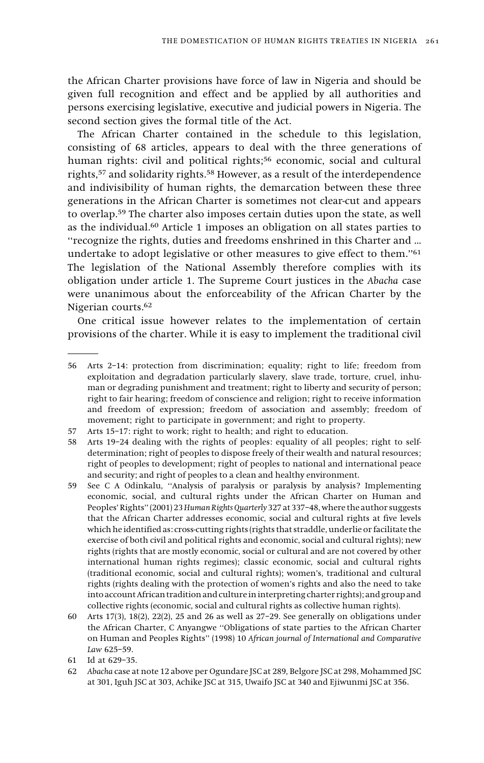the African Charter provisions have force of law in Nigeria and should be given full recognition and effect and be applied by all authorities and persons exercising legislative, executive and judicial powers in Nigeria. The second section gives the formal title of the Act.

The African Charter contained in the schedule to this legislation, consisting of 68 articles, appears to deal with the three generations of human rights: civil and political rights;<sup>56</sup> economic, social and cultural rights,57 and solidarity rights.<sup>58</sup> However, as a result of the interdependence and indivisibility of human rights, the demarcation between these three generations in the African Charter is sometimes not clear-cut and appears to overlap.<sup>59</sup> The charter also imposes certain duties upon the state, as well as the individual.<sup>60</sup> Article 1 imposes an obligation on all states parties to ''recognize the rights, duties and freedoms enshrined in this Charter and … undertake to adopt legislative or other measures to give effect to them.''<sup>61</sup> The legislation of the National Assembly therefore complies with its obligation under article 1. The Supreme Court justices in the Abacha case were unanimous about the enforceability of the African Charter by the Nigerian courts.<sup>62</sup>

One critical issue however relates to the implementation of certain provisions of the charter. While it is easy to implement the traditional civil

- 57 Arts 15–17: right to work; right to health; and right to education.
- 58 Arts 19–24 dealing with the rights of peoples: equality of all peoples; right to selfdetermination; right of peoples to dispose freely of their wealth and natural resources; right of peoples to development; right of peoples to national and international peace and security; and right of peoples to a clean and healthy environment.
- 59 See C A Odinkalu, ''Analysis of paralysis or paralysis by analysis? Implementing economic, social, and cultural rights under the African Charter on Human and Peoples' Rights'' (2001) 23 Human Rights Quarterly 327 at 337–48, where the author suggests that the African Charter addresses economic, social and cultural rights at five levels which he identified as: cross-cutting rights (rights that straddle, underlie or facilitate the exercise of both civil and political rights and economic, social and cultural rights); new rights (rights that are mostly economic, social or cultural and are not covered by other international human rights regimes); classic economic, social and cultural rights (traditional economic, social and cultural rights); women's, traditional and cultural rights (rights dealing with the protection of women's rights and also the need to take into account African tradition and culture in interpreting charter rights); and group and collective rights (economic, social and cultural rights as collective human rights).
- 60 Arts 17(3), 18(2), 22(2), 25 and 26 as well as 27–29. See generally on obligations under the African Charter, C Anyangwe ''Obligations of state parties to the African Charter on Human and Peoples Rights'' (1998) 10 African journal of International and Comparative Law 625–59.

62 Abacha case at note 12 above per Ogundare JSC at 289, Belgore JSC at 298, Mohammed JSC at 301, Iguh JSC at 303, Achike JSC at 315, Uwaifo JSC at 340 and Ejiwunmi JSC at 356.

<sup>56</sup> Arts 2–14: protection from discrimination; equality; right to life; freedom from exploitation and degradation particularly slavery, slave trade, torture, cruel, inhuman or degrading punishment and treatment; right to liberty and security of person; right to fair hearing; freedom of conscience and religion; right to receive information and freedom of expression; freedom of association and assembly; freedom of movement; right to participate in government; and right to property.

<sup>61</sup> Id at 629–35.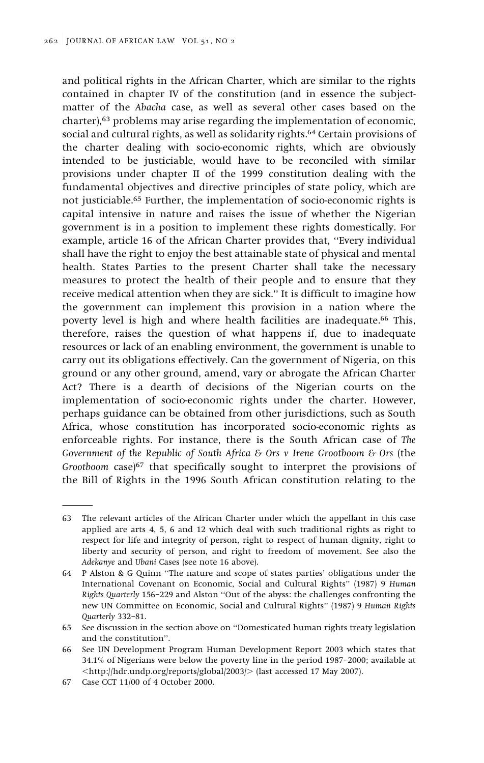and political rights in the African Charter, which are similar to the rights contained in chapter IV of the constitution (and in essence the subjectmatter of the Abacha case, as well as several other cases based on the charter),63 problems may arise regarding the implementation of economic, social and cultural rights, as well as solidarity rights.<sup>64</sup> Certain provisions of the charter dealing with socio-economic rights, which are obviously intended to be justiciable, would have to be reconciled with similar provisions under chapter II of the 1999 constitution dealing with the fundamental objectives and directive principles of state policy, which are not justiciable.65 Further, the implementation of socio-economic rights is capital intensive in nature and raises the issue of whether the Nigerian government is in a position to implement these rights domestically. For example, article 16 of the African Charter provides that, ''Every individual shall have the right to enjoy the best attainable state of physical and mental health. States Parties to the present Charter shall take the necessary measures to protect the health of their people and to ensure that they receive medical attention when they are sick.'' It is difficult to imagine how the government can implement this provision in a nation where the poverty level is high and where health facilities are inadequate.66 This, therefore, raises the question of what happens if, due to inadequate resources or lack of an enabling environment, the government is unable to carry out its obligations effectively. Can the government of Nigeria, on this ground or any other ground, amend, vary or abrogate the African Charter Act? There is a dearth of decisions of the Nigerian courts on the implementation of socio-economic rights under the charter. However, perhaps guidance can be obtained from other jurisdictions, such as South Africa, whose constitution has incorporated socio-economic rights as enforceable rights. For instance, there is the South African case of The Government of the Republic of South Africa & Ors v Irene Grootboom & Ors (the Grootboom case)<sup>67</sup> that specifically sought to interpret the provisions of the Bill of Rights in the 1996 South African constitution relating to the

<sup>63</sup> The relevant articles of the African Charter under which the appellant in this case applied are arts 4, 5, 6 and 12 which deal with such traditional rights as right to respect for life and integrity of person, right to respect of human dignity, right to liberty and security of person, and right to freedom of movement. See also the Adekanye and Ubani Cases (see note 16 above).

<sup>64</sup> P Alston & G Quinn ''The nature and scope of states parties' obligations under the International Covenant on Economic, Social and Cultural Rights'' (1987) 9 Human Rights Quarterly 156–229 and Alston ''Out of the abyss: the challenges confronting the new UN Committee on Economic, Social and Cultural Rights'' (1987) 9 Human Rights Quarterly 332–81.

<sup>65</sup> See discussion in the section above on ''Domesticated human rights treaty legislation and the constitution''.

<sup>66</sup> See UN Development Program Human Development Report 2003 which states that 34.1% of Nigerians were below the poverty line in the period 1987–2000; available at <http://hdr.undp.org/reports/global/2003/> (last accessed 17 May 2007).

<sup>67</sup> Case CCT 11/00 of 4 October 2000.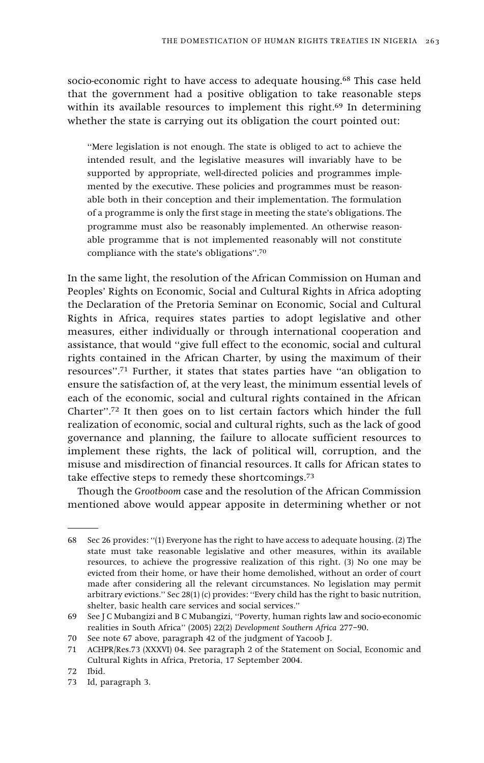socio-economic right to have access to adequate housing.<sup>68</sup> This case held that the government had a positive obligation to take reasonable steps within its available resources to implement this right.<sup>69</sup> In determining whether the state is carrying out its obligation the court pointed out:

''Mere legislation is not enough. The state is obliged to act to achieve the intended result, and the legislative measures will invariably have to be supported by appropriate, well-directed policies and programmes implemented by the executive. These policies and programmes must be reasonable both in their conception and their implementation. The formulation of a programme is only the first stage in meeting the state's obligations. The programme must also be reasonably implemented. An otherwise reasonable programme that is not implemented reasonably will not constitute compliance with the state's obligations''.<sup>70</sup>

In the same light, the resolution of the African Commission on Human and Peoples' Rights on Economic, Social and Cultural Rights in Africa adopting the Declaration of the Pretoria Seminar on Economic, Social and Cultural Rights in Africa, requires states parties to adopt legislative and other measures, either individually or through international cooperation and assistance, that would ''give full effect to the economic, social and cultural rights contained in the African Charter, by using the maximum of their resources''.71 Further, it states that states parties have ''an obligation to ensure the satisfaction of, at the very least, the minimum essential levels of each of the economic, social and cultural rights contained in the African Charter''.<sup>72</sup> It then goes on to list certain factors which hinder the full realization of economic, social and cultural rights, such as the lack of good governance and planning, the failure to allocate sufficient resources to implement these rights, the lack of political will, corruption, and the misuse and misdirection of financial resources. It calls for African states to take effective steps to remedy these shortcomings.<sup>73</sup>

Though the Grootboom case and the resolution of the African Commission mentioned above would appear apposite in determining whether or not

<sup>68</sup> Sec 26 provides: ''(1) Everyone has the right to have access to adequate housing. (2) The state must take reasonable legislative and other measures, within its available resources, to achieve the progressive realization of this right. (3) No one may be evicted from their home, or have their home demolished, without an order of court made after considering all the relevant circumstances. No legislation may permit arbitrary evictions.'' Sec 28(1) (c) provides: ''Every child has the right to basic nutrition, shelter, basic health care services and social services.''

<sup>69</sup> See J C Mubangizi and B C Mubangizi, ''Poverty, human rights law and socio-economic realities in South Africa'' (2005) 22(2) Development Southern Africa 277–90.

<sup>70</sup> See note 67 above, paragraph 42 of the judgment of Yacoob J.

<sup>71</sup> ACHPR/Res.73 (XXXVI) 04. See paragraph 2 of the Statement on Social, Economic and Cultural Rights in Africa, Pretoria, 17 September 2004.

<sup>72</sup> Ibid.

<sup>73</sup> Id, paragraph 3.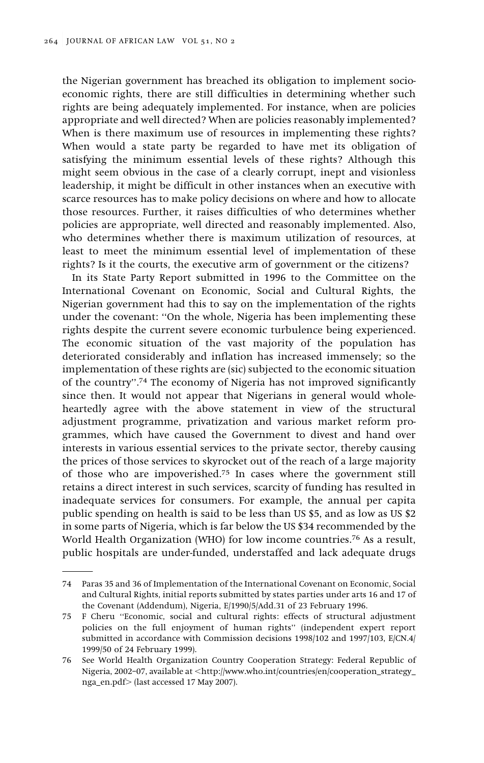the Nigerian government has breached its obligation to implement socioeconomic rights, there are still difficulties in determining whether such rights are being adequately implemented. For instance, when are policies appropriate and well directed? When are policies reasonably implemented? When is there maximum use of resources in implementing these rights? When would a state party be regarded to have met its obligation of satisfying the minimum essential levels of these rights? Although this might seem obvious in the case of a clearly corrupt, inept and visionless leadership, it might be difficult in other instances when an executive with scarce resources has to make policy decisions on where and how to allocate those resources. Further, it raises difficulties of who determines whether policies are appropriate, well directed and reasonably implemented. Also, who determines whether there is maximum utilization of resources, at least to meet the minimum essential level of implementation of these rights? Is it the courts, the executive arm of government or the citizens?

In its State Party Report submitted in 1996 to the Committee on the International Covenant on Economic, Social and Cultural Rights, the Nigerian government had this to say on the implementation of the rights under the covenant: ''On the whole, Nigeria has been implementing these rights despite the current severe economic turbulence being experienced. The economic situation of the vast majority of the population has deteriorated considerably and inflation has increased immensely; so the implementation of these rights are (sic) subjected to the economic situation of the country''.<sup>74</sup> The economy of Nigeria has not improved significantly since then. It would not appear that Nigerians in general would wholeheartedly agree with the above statement in view of the structural adjustment programme, privatization and various market reform programmes, which have caused the Government to divest and hand over interests in various essential services to the private sector, thereby causing the prices of those services to skyrocket out of the reach of a large majority of those who are impoverished.<sup>75</sup> In cases where the government still retains a direct interest in such services, scarcity of funding has resulted in inadequate services for consumers. For example, the annual per capita public spending on health is said to be less than US \$5, and as low as US \$2 in some parts of Nigeria, which is far below the US \$34 recommended by the World Health Organization (WHO) for low income countries.<sup>76</sup> As a result, public hospitals are under-funded, understaffed and lack adequate drugs

<sup>74</sup> Paras 35 and 36 of Implementation of the International Covenant on Economic, Social and Cultural Rights, initial reports submitted by states parties under arts 16 and 17 of the Covenant (Addendum), Nigeria, E/1990/5/Add.31 of 23 February 1996.

<sup>75</sup> F Cheru ''Economic, social and cultural rights: effects of structural adjustment policies on the full enjoyment of human rights'' (independent expert report submitted in accordance with Commission decisions 1998/102 and 1997/103, E/CN.4/ 1999/50 of 24 February 1999).

<sup>76</sup> See World Health Organization Country Cooperation Strategy: Federal Republic of Nigeria, 2002–07, available at <http://www.who.int/countries/en/cooperation\_strategy\_ nga\_en.pdf> (last accessed 17 May 2007).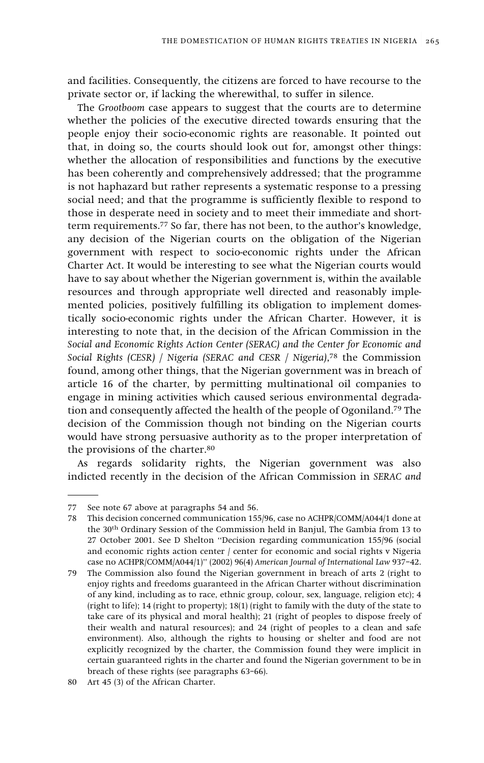and facilities. Consequently, the citizens are forced to have recourse to the private sector or, if lacking the wherewithal, to suffer in silence.

The Grootboom case appears to suggest that the courts are to determine whether the policies of the executive directed towards ensuring that the people enjoy their socio-economic rights are reasonable. It pointed out that, in doing so, the courts should look out for, amongst other things: whether the allocation of responsibilities and functions by the executive has been coherently and comprehensively addressed; that the programme is not haphazard but rather represents a systematic response to a pressing social need; and that the programme is sufficiently flexible to respond to those in desperate need in society and to meet their immediate and shortterm requirements.<sup>77</sup> So far, there has not been, to the author's knowledge, any decision of the Nigerian courts on the obligation of the Nigerian government with respect to socio-economic rights under the African Charter Act. It would be interesting to see what the Nigerian courts would have to say about whether the Nigerian government is, within the available resources and through appropriate well directed and reasonably implemented policies, positively fulfilling its obligation to implement domestically socio-economic rights under the African Charter. However, it is interesting to note that, in the decision of the African Commission in the Social and Economic Rights Action Center (SERAC) and the Center for Economic and Social Rights (CESR) / Nigeria (SERAC and CESR / Nigeria),<sup>78</sup> the Commission found, among other things, that the Nigerian government was in breach of article 16 of the charter, by permitting multinational oil companies to engage in mining activities which caused serious environmental degradation and consequently affected the health of the people of Ogoniland.<sup>79</sup> The decision of the Commission though not binding on the Nigerian courts would have strong persuasive authority as to the proper interpretation of the provisions of the charter.<sup>80</sup>

As regards solidarity rights, the Nigerian government was also indicted recently in the decision of the African Commission in SERAC and

<sup>77</sup> See note 67 above at paragraphs 54 and 56.

<sup>78</sup> This decision concerned communication 155/96, case no ACHPR/COMM/A044/1 done at the 30th Ordinary Session of the Commission held in Banjul, The Gambia from 13 to 27 October 2001. See D Shelton ''Decision regarding communication 155/96 (social and economic rights action center / center for economic and social rights v Nigeria case no ACHPR/COMM/A044/1)'' (2002) 96(4) American Journal of International Law 937–42.

<sup>79</sup> The Commission also found the Nigerian government in breach of arts 2 (right to enjoy rights and freedoms guaranteed in the African Charter without discrimination of any kind, including as to race, ethnic group, colour, sex, language, religion etc); 4 (right to life); 14 (right to property); 18(1) (right to family with the duty of the state to take care of its physical and moral health); 21 (right of peoples to dispose freely of their wealth and natural resources); and 24 (right of peoples to a clean and safe environment). Also, although the rights to housing or shelter and food are not explicitly recognized by the charter, the Commission found they were implicit in certain guaranteed rights in the charter and found the Nigerian government to be in breach of these rights (see paragraphs 63–66).

<sup>80</sup> Art 45 (3) of the African Charter.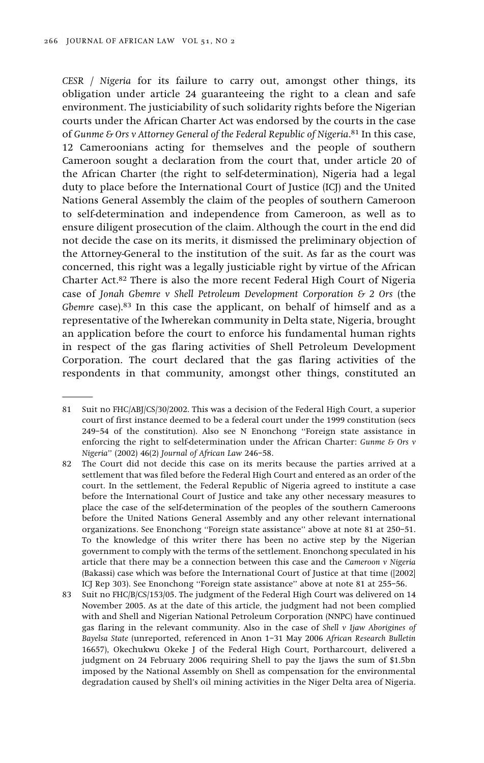CESR / Nigeria for its failure to carry out, amongst other things, its obligation under article 24 guaranteeing the right to a clean and safe environment. The justiciability of such solidarity rights before the Nigerian courts under the African Charter Act was endorsed by the courts in the case of Gunme & Ors v Attorney General of the Federal Republic of Nigeria.<sup>81</sup> In this case, 12 Cameroonians acting for themselves and the people of southern Cameroon sought a declaration from the court that, under article 20 of the African Charter (the right to self-determination), Nigeria had a legal duty to place before the International Court of Justice (ICJ) and the United Nations General Assembly the claim of the peoples of southern Cameroon to self-determination and independence from Cameroon, as well as to ensure diligent prosecution of the claim. Although the court in the end did not decide the case on its merits, it dismissed the preliminary objection of the Attorney-General to the institution of the suit. As far as the court was concerned, this right was a legally justiciable right by virtue of the African Charter Act.82 There is also the more recent Federal High Court of Nigeria case of Jonah Gbemre v Shell Petroleum Development Corporation & 2 Ors (the Gbemre case). $83$  In this case the applicant, on behalf of himself and as a representative of the Iwherekan community in Delta state, Nigeria, brought an application before the court to enforce his fundamental human rights in respect of the gas flaring activities of Shell Petroleum Development Corporation. The court declared that the gas flaring activities of the respondents in that community, amongst other things, constituted an

<sup>81</sup> Suit no FHC/ABJ/CS/30/2002. This was a decision of the Federal High Court, a superior court of first instance deemed to be a federal court under the 1999 constitution (secs 249–54 of the constitution). Also see N Enonchong ''Foreign state assistance in enforcing the right to self-determination under the African Charter: Gunme & Ors v Nigeria'' (2002) 46(2) Journal of African Law 246–58.

<sup>82</sup> The Court did not decide this case on its merits because the parties arrived at a settlement that was filed before the Federal High Court and entered as an order of the court. In the settlement, the Federal Republic of Nigeria agreed to institute a case before the International Court of Justice and take any other necessary measures to place the case of the self-determination of the peoples of the southern Cameroons before the United Nations General Assembly and any other relevant international organizations. See Enonchong ''Foreign state assistance'' above at note 81 at 250–51. To the knowledge of this writer there has been no active step by the Nigerian government to comply with the terms of the settlement. Enonchong speculated in his article that there may be a connection between this case and the Cameroon  $\nu$  Nigeria (Bakassi) case which was before the International Court of Justice at that time ([2002] ICJ Rep 303). See Enonchong ''Foreign state assistance'' above at note 81 at 255–56.

<sup>83</sup> Suit no FHC/B/CS/153/05. The judgment of the Federal High Court was delivered on 14 November 2005. As at the date of this article, the judgment had not been complied with and Shell and Nigerian National Petroleum Corporation (NNPC) have continued gas flaring in the relevant community. Also in the case of Shell v Ijaw Aborigines of Bayelsa State (unreported, referenced in Anon 1–31 May 2006 African Research Bulletin 16657), Okechukwu Okeke J of the Federal High Court, Portharcourt, delivered a judgment on 24 February 2006 requiring Shell to pay the Ijaws the sum of \$1.5bn imposed by the National Assembly on Shell as compensation for the environmental degradation caused by Shell's oil mining activities in the Niger Delta area of Nigeria.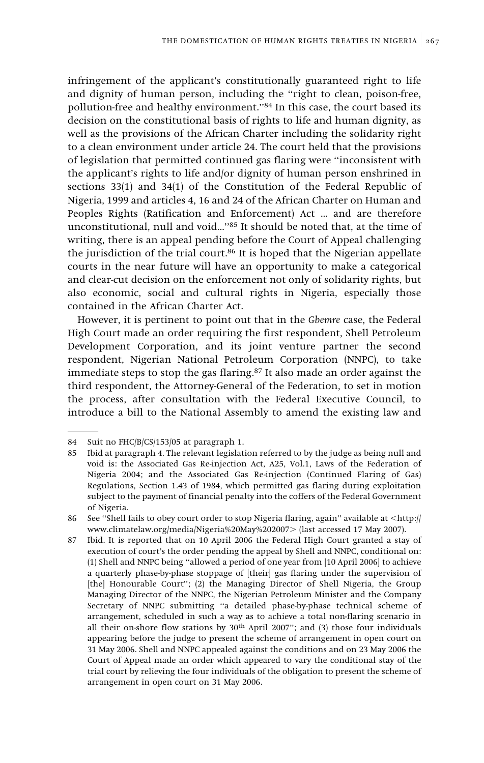infringement of the applicant's constitutionally guaranteed right to life and dignity of human person, including the ''right to clean, poison-free, pollution-free and healthy environment.''<sup>84</sup> In this case, the court based its decision on the constitutional basis of rights to life and human dignity, as well as the provisions of the African Charter including the solidarity right to a clean environment under article 24. The court held that the provisions of legislation that permitted continued gas flaring were ''inconsistent with the applicant's rights to life and/or dignity of human person enshrined in sections 33(1) and 34(1) of the Constitution of the Federal Republic of Nigeria, 1999 and articles 4, 16 and 24 of the African Charter on Human and Peoples Rights (Ratification and Enforcement) Act … and are therefore unconstitutional, null and void…''<sup>85</sup> It should be noted that, at the time of writing, there is an appeal pending before the Court of Appeal challenging the jurisdiction of the trial court.<sup>86</sup> It is hoped that the Nigerian appellate courts in the near future will have an opportunity to make a categorical and clear-cut decision on the enforcement not only of solidarity rights, but also economic, social and cultural rights in Nigeria, especially those contained in the African Charter Act.

However, it is pertinent to point out that in the Gbemre case, the Federal High Court made an order requiring the first respondent, Shell Petroleum Development Corporation, and its joint venture partner the second respondent, Nigerian National Petroleum Corporation (NNPC), to take immediate steps to stop the gas flaring.<sup>87</sup> It also made an order against the third respondent, the Attorney-General of the Federation, to set in motion the process, after consultation with the Federal Executive Council, to introduce a bill to the National Assembly to amend the existing law and

<sup>84</sup> Suit no FHC/B/CS/153/05 at paragraph 1.

<sup>85</sup> Ibid at paragraph 4. The relevant legislation referred to by the judge as being null and void is: the Associated Gas Re-injection Act, A25, Vol.1, Laws of the Federation of Nigeria 2004; and the Associated Gas Re-injection (Continued Flaring of Gas) Regulations, Section 1.43 of 1984, which permitted gas flaring during exploitation subject to the payment of financial penalty into the coffers of the Federal Government of Nigeria.

<sup>86</sup> See "Shell fails to obey court order to stop Nigeria flaring, again" available at <http:// www.climatelaw.org/media/Nigeria%20May%202007. (last accessed 17 May 2007).

<sup>87</sup> Ibid. It is reported that on 10 April 2006 the Federal High Court granted a stay of execution of court's the order pending the appeal by Shell and NNPC, conditional on: (1) Shell and NNPC being ''allowed a period of one year from [10 April 2006] to achieve a quarterly phase-by-phase stoppage of [their] gas flaring under the supervision of [the] Honourable Court"; (2) the Managing Director of Shell Nigeria, the Group Managing Director of the NNPC, the Nigerian Petroleum Minister and the Company Secretary of NNPC submitting ''a detailed phase-by-phase technical scheme of arrangement, scheduled in such a way as to achieve a total non-flaring scenario in all their on-shore flow stations by 30th April 2007''; and (3) those four individuals appearing before the judge to present the scheme of arrangement in open court on 31 May 2006. Shell and NNPC appealed against the conditions and on 23 May 2006 the Court of Appeal made an order which appeared to vary the conditional stay of the trial court by relieving the four individuals of the obligation to present the scheme of arrangement in open court on 31 May 2006.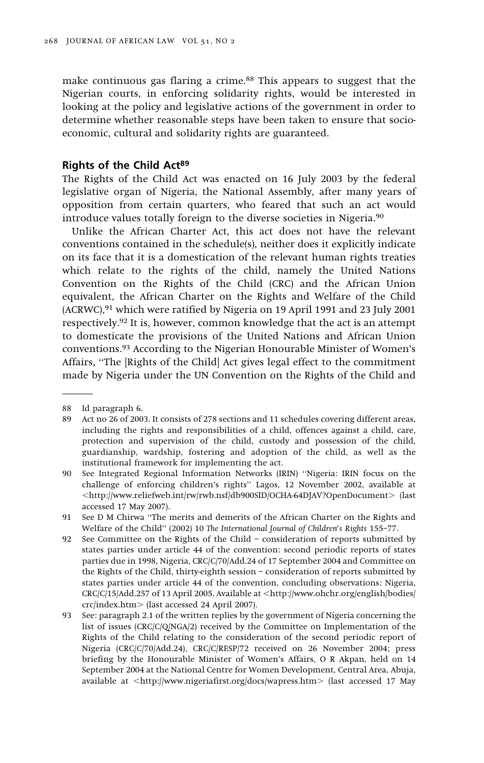make continuous gas flaring a crime.<sup>88</sup> This appears to suggest that the Nigerian courts, in enforcing solidarity rights, would be interested in looking at the policy and legislative actions of the government in order to determine whether reasonable steps have been taken to ensure that socioeconomic, cultural and solidarity rights are guaranteed.

#### Rights of the Child Act<sup>89</sup>

The Rights of the Child Act was enacted on 16 July 2003 by the federal legislative organ of Nigeria, the National Assembly, after many years of opposition from certain quarters, who feared that such an act would introduce values totally foreign to the diverse societies in Nigeria.<sup>90</sup>

Unlike the African Charter Act, this act does not have the relevant conventions contained in the schedule(s), neither does it explicitly indicate on its face that it is a domestication of the relevant human rights treaties which relate to the rights of the child, namely the United Nations Convention on the Rights of the Child (CRC) and the African Union equivalent, the African Charter on the Rights and Welfare of the Child (ACRWC),91 which were ratified by Nigeria on 19 April 1991 and 23 July 2001 respectively.<sup>92</sup> It is, however, common knowledge that the act is an attempt to domesticate the provisions of the United Nations and African Union conventions.93 According to the Nigerian Honourable Minister of Women's Affairs, ''The [Rights of the Child] Act gives legal effect to the commitment made by Nigeria under the UN Convention on the Rights of the Child and

<sup>88</sup> Id paragraph 6.

<sup>89</sup> Act no 26 of 2003. It consists of 278 sections and 11 schedules covering different areas, including the rights and responsibilities of a child, offences against a child, care, protection and supervision of the child, custody and possession of the child, guardianship, wardship, fostering and adoption of the child, as well as the institutional framework for implementing the act.

<sup>90</sup> See Integrated Regional Information Networks (IRIN) ''Nigeria: IRIN focus on the challenge of enforcing children's rights'' Lagos, 12 November 2002, available at <http://www.reliefweb.int/rw/rwb.nsf/db900SID/OCHA-64DJAV?OpenDocument> (last accessed 17 May 2007).

<sup>91</sup> See D M Chirwa ''The merits and demerits of the African Charter on the Rights and Welfare of the Child'' (2002) 10 The International Journal of Children's Rights 155–77.

<sup>92</sup> See Committee on the Rights of the Child – consideration of reports submitted by states parties under article 44 of the convention: second periodic reports of states parties due in 1998, Nigeria, CRC/C/70/Add.24 of 17 September 2004 and Committee on the Rights of the Child, thirty-eighth session – consideration of reports submitted by states parties under article 44 of the convention, concluding observations: Nigeria, CRC/C/15/Add.257 of 13 April 2005. Available at <http://www.ohchr.org/english/bodies/ crc/index.htm> (last accessed 24 April 2007).

<sup>93</sup> See: paragraph 2.1 of the written replies by the government of Nigeria concerning the list of issues (CRC/C/Q/NGA/2) received by the Committee on Implementation of the Rights of the Child relating to the consideration of the second periodic report of Nigeria (CRC/C/70/Add.24), CRC/C/RESP/72 received on 26 November 2004; press briefing by the Honourable Minister of Women's Affairs, O R Akpan, held on 14 September 2004 at the National Centre for Women Development, Central Area, Abuja, available at <http://www.nigeriafirst.org/docs/wapress.htm> (last accessed 17 May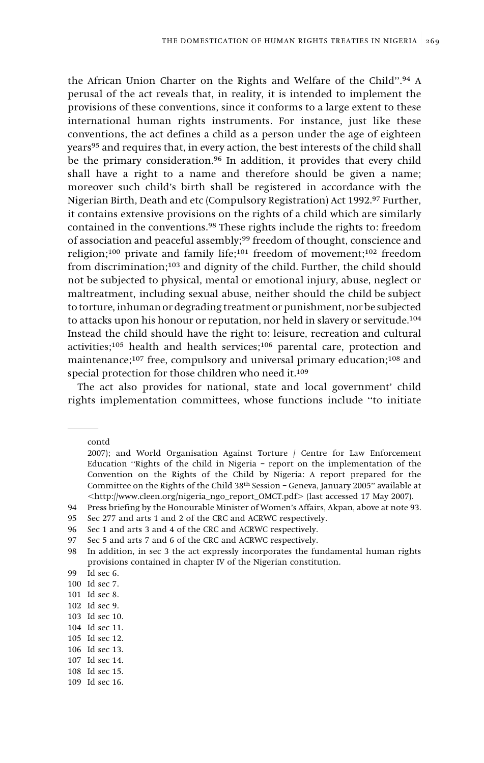the African Union Charter on the Rights and Welfare of the Child''.<sup>94</sup> A perusal of the act reveals that, in reality, it is intended to implement the provisions of these conventions, since it conforms to a large extent to these international human rights instruments. For instance, just like these conventions, the act defines a child as a person under the age of eighteen years<sup>95</sup> and requires that, in every action, the best interests of the child shall be the primary consideration.<sup>96</sup> In addition, it provides that every child shall have a right to a name and therefore should be given a name; moreover such child's birth shall be registered in accordance with the Nigerian Birth, Death and etc (Compulsory Registration) Act 1992.97 Further, it contains extensive provisions on the rights of a child which are similarly contained in the conventions.<sup>98</sup> These rights include the rights to: freedom of association and peaceful assembly;<sup>99</sup> freedom of thought, conscience and religion;<sup>100</sup> private and family life;<sup>101</sup> freedom of movement;<sup>102</sup> freedom from discrimination;103 and dignity of the child. Further, the child should not be subjected to physical, mental or emotional injury, abuse, neglect or maltreatment, including sexual abuse, neither should the child be subject to torture, inhuman or degrading treatment or punishment, nor be subjected to attacks upon his honour or reputation, nor held in slavery or servitude.104 Instead the child should have the right to: leisure, recreation and cultural activities;105 health and health services;106 parental care, protection and maintenance;107 free, compulsory and universal primary education;108 and special protection for those children who need it.<sup>109</sup>

The act also provides for national, state and local government' child rights implementation committees, whose functions include ''to initiate

contd

<sup>2007);</sup> and World Organisation Against Torture / Centre for Law Enforcement Education ''Rights of the child in Nigeria – report on the implementation of the Convention on the Rights of the Child by Nigeria: A report prepared for the Committee on the Rights of the Child 38th Session – Geneva, January 2005'' available at ,http://www.cleen.org/nigeria\_ngo\_report\_OMCT.pdf. (last accessed 17 May 2007).

<sup>94</sup> Press briefing by the Honourable Minister of Women's Affairs, Akpan, above at note 93.

<sup>95</sup> Sec 277 and arts 1 and 2 of the CRC and ACRWC respectively.

<sup>96</sup> Sec 1 and arts 3 and 4 of the CRC and ACRWC respectively.

<sup>97</sup> Sec 5 and arts 7 and 6 of the CRC and ACRWC respectively.

<sup>98</sup> In addition, in sec 3 the act expressly incorporates the fundamental human rights provisions contained in chapter IV of the Nigerian constitution.

<sup>99</sup> Id sec 6.

<sup>100</sup> Id sec 7.

<sup>101</sup> Id sec 8.

<sup>102</sup> Id sec 9.

<sup>103</sup> Id sec 10.

<sup>104</sup> Id sec 11.

<sup>105</sup> Id sec 12.

<sup>106</sup> Id sec 13.

<sup>107</sup> Id sec 14.

<sup>108</sup> Id sec 15.

<sup>109</sup> Id sec 16.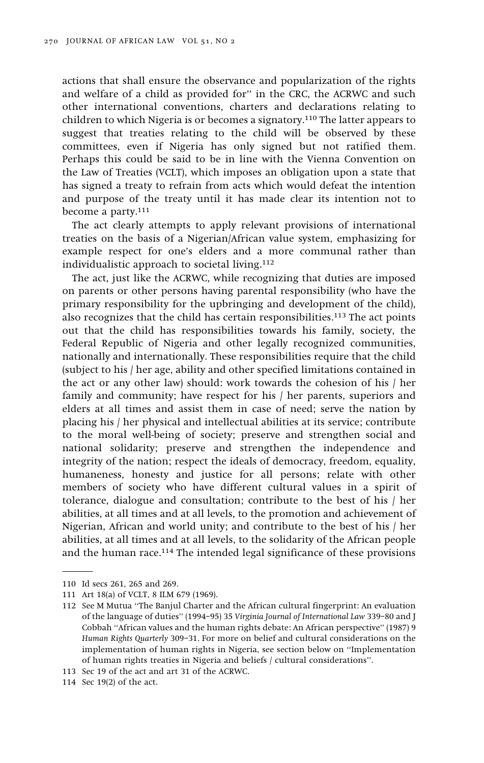actions that shall ensure the observance and popularization of the rights and welfare of a child as provided for'' in the CRC, the ACRWC and such other international conventions, charters and declarations relating to children to which Nigeria is or becomes a signatory.<sup>110</sup> The latter appears to suggest that treaties relating to the child will be observed by these committees, even if Nigeria has only signed but not ratified them. Perhaps this could be said to be in line with the Vienna Convention on the Law of Treaties (VCLT), which imposes an obligation upon a state that has signed a treaty to refrain from acts which would defeat the intention and purpose of the treaty until it has made clear its intention not to become a party.<sup>111</sup>

The act clearly attempts to apply relevant provisions of international treaties on the basis of a Nigerian/African value system, emphasizing for example respect for one's elders and a more communal rather than individualistic approach to societal living.<sup>112</sup>

The act, just like the ACRWC, while recognizing that duties are imposed on parents or other persons having parental responsibility (who have the primary responsibility for the upbringing and development of the child), also recognizes that the child has certain responsibilities.<sup>113</sup> The act points out that the child has responsibilities towards his family, society, the Federal Republic of Nigeria and other legally recognized communities, nationally and internationally. These responsibilities require that the child (subject to his / her age, ability and other specified limitations contained in the act or any other law) should: work towards the cohesion of his / her family and community; have respect for his / her parents, superiors and elders at all times and assist them in case of need; serve the nation by placing his / her physical and intellectual abilities at its service; contribute to the moral well-being of society; preserve and strengthen social and national solidarity; preserve and strengthen the independence and integrity of the nation; respect the ideals of democracy, freedom, equality, humaneness, honesty and justice for all persons; relate with other members of society who have different cultural values in a spirit of tolerance, dialogue and consultation; contribute to the best of his / her abilities, at all times and at all levels, to the promotion and achievement of Nigerian, African and world unity; and contribute to the best of his / her abilities, at all times and at all levels, to the solidarity of the African people and the human race.<sup>114</sup> The intended legal significance of these provisions

<sup>110</sup> Id secs 261, 265 and 269.

<sup>111</sup> Art 18(a) of VCLT, 8 ILM 679 (1969).

<sup>112</sup> See M Mutua ''The Banjul Charter and the African cultural fingerprint: An evaluation of the language of duties'' (1994–95) 35 Virginia Journal of International Law 339–80 and J Cobbah ''African values and the human rights debate: An African perspective'' (1987) 9 Human Rights Quarterly 309–31. For more on belief and cultural considerations on the implementation of human rights in Nigeria, see section below on ''Implementation of human rights treaties in Nigeria and beliefs / cultural considerations''.

<sup>113</sup> Sec 19 of the act and art 31 of the ACRWC.

<sup>114</sup> Sec 19(2) of the act.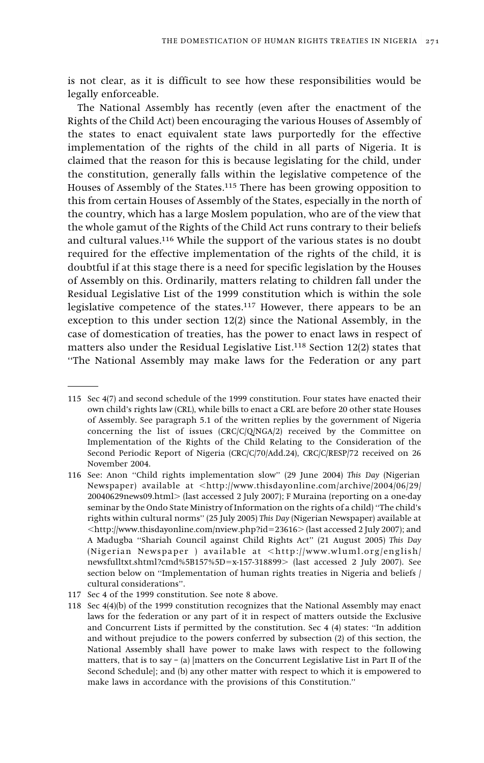is not clear, as it is difficult to see how these responsibilities would be legally enforceable.

The National Assembly has recently (even after the enactment of the Rights of the Child Act) been encouraging the various Houses of Assembly of the states to enact equivalent state laws purportedly for the effective implementation of the rights of the child in all parts of Nigeria. It is claimed that the reason for this is because legislating for the child, under the constitution, generally falls within the legislative competence of the Houses of Assembly of the States.<sup>115</sup> There has been growing opposition to this from certain Houses of Assembly of the States, especially in the north of the country, which has a large Moslem population, who are of the view that the whole gamut of the Rights of the Child Act runs contrary to their beliefs and cultural values.<sup>116</sup> While the support of the various states is no doubt required for the effective implementation of the rights of the child, it is doubtful if at this stage there is a need for specific legislation by the Houses of Assembly on this. Ordinarily, matters relating to children fall under the Residual Legislative List of the 1999 constitution which is within the sole legislative competence of the states.117 However, there appears to be an exception to this under section 12(2) since the National Assembly, in the case of domestication of treaties, has the power to enact laws in respect of matters also under the Residual Legislative List.<sup>118</sup> Section 12(2) states that ''The National Assembly may make laws for the Federation or any part

<sup>115</sup> Sec 4(7) and second schedule of the 1999 constitution. Four states have enacted their own child's rights law (CRL), while bills to enact a CRL are before 20 other state Houses of Assembly. See paragraph 5.1 of the written replies by the government of Nigeria concerning the list of issues (CRC/C/Q/NGA/2) received by the Committee on Implementation of the Rights of the Child Relating to the Consideration of the Second Periodic Report of Nigeria (CRC/C/70/Add.24), CRC/C/RESP/72 received on 26 November 2004.

<sup>116</sup> See: Anon ''Child rights implementation slow'' (29 June 2004) This Day (Nigerian Newspaper) available at <http://www.thisdayonline.com/archive/2004/06/29/ 20040629news09.html> (last accessed 2 July 2007); F Muraina (reporting on a one-day seminar by the Ondo State Ministry of Information on the rights of a child) ''The child's rights within cultural norms'' (25 July 2005) This Day (Nigerian Newspaper) available at <http://www.thisdayonline.com/nview.php?id=23616>(last accessed 2 July 2007); and A Madugba ''Shariah Council against Child Rights Act'' (21 August 2005) This Day (Nigerian Newspaper ) available at <http://www.wluml.org/english/ newsfulltxt.shtml?cmd%5B157%5D=x-157-318899> (last accessed 2 July 2007). See section below on ''Implementation of human rights treaties in Nigeria and beliefs / cultural considerations''.

<sup>117</sup> Sec 4 of the 1999 constitution. See note 8 above.

<sup>118</sup> Sec 4(4)(b) of the 1999 constitution recognizes that the National Assembly may enact laws for the federation or any part of it in respect of matters outside the Exclusive and Concurrent Lists if permitted by the constitution. Sec 4 (4) states: ''In addition and without prejudice to the powers conferred by subsection (2) of this section, the National Assembly shall have power to make laws with respect to the following matters, that is to say – (a) [matters on the Concurrent Legislative List in Part II of the Second Schedule]; and (b) any other matter with respect to which it is empowered to make laws in accordance with the provisions of this Constitution.''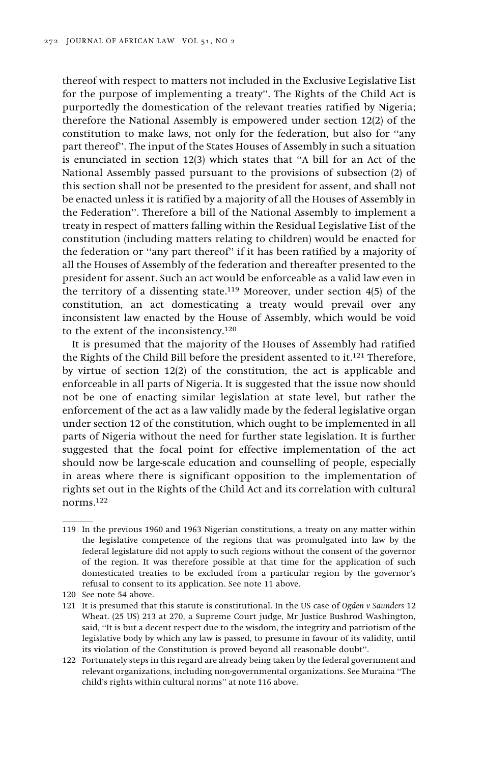thereof with respect to matters not included in the Exclusive Legislative List for the purpose of implementing a treaty''. The Rights of the Child Act is purportedly the domestication of the relevant treaties ratified by Nigeria; therefore the National Assembly is empowered under section 12(2) of the constitution to make laws, not only for the federation, but also for ''any part thereof''. The input of the States Houses of Assembly in such a situation is enunciated in section 12(3) which states that ''A bill for an Act of the National Assembly passed pursuant to the provisions of subsection (2) of this section shall not be presented to the president for assent, and shall not be enacted unless it is ratified by a majority of all the Houses of Assembly in the Federation''. Therefore a bill of the National Assembly to implement a treaty in respect of matters falling within the Residual Legislative List of the constitution (including matters relating to children) would be enacted for the federation or ''any part thereof'' if it has been ratified by a majority of all the Houses of Assembly of the federation and thereafter presented to the president for assent. Such an act would be enforceable as a valid law even in the territory of a dissenting state.119 Moreover, under section 4(5) of the constitution, an act domesticating a treaty would prevail over any inconsistent law enacted by the House of Assembly, which would be void to the extent of the inconsistency.120

It is presumed that the majority of the Houses of Assembly had ratified the Rights of the Child Bill before the president assented to it.<sup>121</sup> Therefore, by virtue of section 12(2) of the constitution, the act is applicable and enforceable in all parts of Nigeria. It is suggested that the issue now should not be one of enacting similar legislation at state level, but rather the enforcement of the act as a law validly made by the federal legislative organ under section 12 of the constitution, which ought to be implemented in all parts of Nigeria without the need for further state legislation. It is further suggested that the focal point for effective implementation of the act should now be large-scale education and counselling of people, especially in areas where there is significant opposition to the implementation of rights set out in the Rights of the Child Act and its correlation with cultural norms.122

<sup>119</sup> In the previous 1960 and 1963 Nigerian constitutions, a treaty on any matter within the legislative competence of the regions that was promulgated into law by the federal legislature did not apply to such regions without the consent of the governor of the region. It was therefore possible at that time for the application of such domesticated treaties to be excluded from a particular region by the governor's refusal to consent to its application. See note 11 above.

<sup>120</sup> See note 54 above.

<sup>121</sup> It is presumed that this statute is constitutional. In the US case of Ogden v Saunders 12 Wheat. (25 US) 213 at 270, a Supreme Court judge, Mr Justice Bushrod Washington, said, ''It is but a decent respect due to the wisdom, the integrity and patriotism of the legislative body by which any law is passed, to presume in favour of its validity, until its violation of the Constitution is proved beyond all reasonable doubt''.

<sup>122</sup> Fortunately steps in this regard are already being taken by the federal government and relevant organizations, including non-governmental organizations. See Muraina ''The child's rights within cultural norms'' at note 116 above.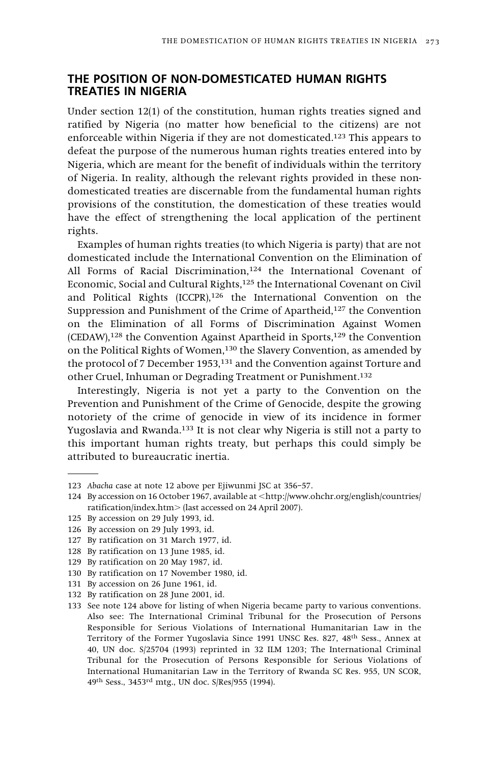# THE POSITION OF NON-DOMESTICATED HUMAN RIGHTS TREATIES IN NIGERIA

Under section 12(1) of the constitution, human rights treaties signed and ratified by Nigeria (no matter how beneficial to the citizens) are not enforceable within Nigeria if they are not domesticated.<sup>123</sup> This appears to defeat the purpose of the numerous human rights treaties entered into by Nigeria, which are meant for the benefit of individuals within the territory of Nigeria. In reality, although the relevant rights provided in these nondomesticated treaties are discernable from the fundamental human rights provisions of the constitution, the domestication of these treaties would have the effect of strengthening the local application of the pertinent rights.

Examples of human rights treaties (to which Nigeria is party) that are not domesticated include the International Convention on the Elimination of All Forms of Racial Discrimination,<sup>124</sup> the International Covenant of Economic, Social and Cultural Rights,125 the International Covenant on Civil and Political Rights (ICCPR),<sup>126</sup> the International Convention on the Suppression and Punishment of the Crime of Apartheid,<sup>127</sup> the Convention on the Elimination of all Forms of Discrimination Against Women (CEDAW),128 the Convention Against Apartheid in Sports,129 the Convention on the Political Rights of Women,130 the Slavery Convention, as amended by the protocol of 7 December 1953,<sup>131</sup> and the Convention against Torture and other Cruel, Inhuman or Degrading Treatment or Punishment.132

Interestingly, Nigeria is not yet a party to the Convention on the Prevention and Punishment of the Crime of Genocide, despite the growing notoriety of the crime of genocide in view of its incidence in former Yugoslavia and Rwanda.133 It is not clear why Nigeria is still not a party to this important human rights treaty, but perhaps this could simply be attributed to bureaucratic inertia.

<sup>123</sup> Abacha case at note 12 above per Ejiwunmi JSC at 356–57.

<sup>124</sup> By accession on 16 October 1967, available at <http://www.ohchr.org/english/countries/ ratification/index.htm> (last accessed on 24 April 2007).

<sup>125</sup> By accession on 29 July 1993, id.

<sup>126</sup> By accession on 29 July 1993, id.

<sup>127</sup> By ratification on 31 March 1977, id.

<sup>128</sup> By ratification on 13 June 1985, id.

<sup>129</sup> By ratification on 20 May 1987, id.

<sup>130</sup> By ratification on 17 November 1980, id.

<sup>131</sup> By accession on 26 June 1961, id.

<sup>132</sup> By ratification on 28 June 2001, id.

<sup>133</sup> See note 124 above for listing of when Nigeria became party to various conventions. Also see: The International Criminal Tribunal for the Prosecution of Persons Responsible for Serious Violations of International Humanitarian Law in the Territory of the Former Yugoslavia Since 1991 UNSC Res. 827, 48th Sess., Annex at 40, UN doc. S/25704 (1993) reprinted in 32 ILM 1203; The International Criminal Tribunal for the Prosecution of Persons Responsible for Serious Violations of International Humanitarian Law in the Territory of Rwanda SC Res. 955, UN SCOR, 49th Sess., 3453rd mtg., UN doc. S/Res/955 (1994).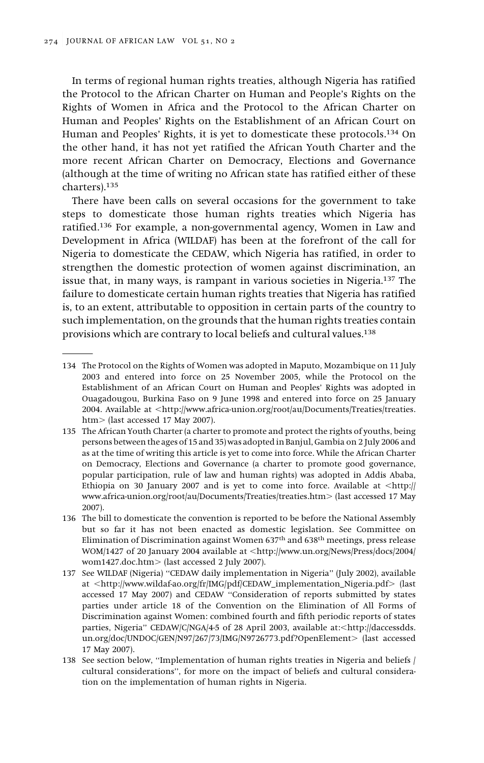In terms of regional human rights treaties, although Nigeria has ratified the Protocol to the African Charter on Human and People's Rights on the Rights of Women in Africa and the Protocol to the African Charter on Human and Peoples' Rights on the Establishment of an African Court on Human and Peoples' Rights, it is yet to domesticate these protocols.134 On the other hand, it has not yet ratified the African Youth Charter and the more recent African Charter on Democracy, Elections and Governance (although at the time of writing no African state has ratified either of these charters).135

There have been calls on several occasions for the government to take steps to domesticate those human rights treaties which Nigeria has ratified.<sup>136</sup> For example, a non-governmental agency, Women in Law and Development in Africa (WILDAF) has been at the forefront of the call for Nigeria to domesticate the CEDAW, which Nigeria has ratified, in order to strengthen the domestic protection of women against discrimination, an issue that, in many ways, is rampant in various societies in Nigeria.137 The failure to domesticate certain human rights treaties that Nigeria has ratified is, to an extent, attributable to opposition in certain parts of the country to such implementation, on the grounds that the human rights treaties contain provisions which are contrary to local beliefs and cultural values.<sup>138</sup>

<sup>134</sup> The Protocol on the Rights of Women was adopted in Maputo, Mozambique on 11 July 2003 and entered into force on 25 November 2005, while the Protocol on the Establishment of an African Court on Human and Peoples' Rights was adopted in Ouagadougou, Burkina Faso on 9 June 1998 and entered into force on 25 January 2004. Available at <http://www.africa-union.org/root/au/Documents/Treaties/treaties. htm> (last accessed 17 May 2007).

<sup>135</sup> The African Youth Charter (a charter to promote and protect the rights of youths, being persons between the ages of 15 and 35) was adopted in Banjul, Gambia on 2 July 2006 and as at the time of writing this article is yet to come into force. While the African Charter on Democracy, Elections and Governance (a charter to promote good governance, popular participation, rule of law and human rights) was adopted in Addis Ababa, Ethiopia on 30 January 2007 and is yet to come into force. Available at  $\langle$ http:// www.africa-union.org/root/au/Documents/Treaties/treaties.htm> (last accessed 17 May 2007).

<sup>136</sup> The bill to domesticate the convention is reported to be before the National Assembly but so far it has not been enacted as domestic legislation. See Committee on Elimination of Discrimination against Women 637th and 638th meetings, press release WOM/1427 of 20 January 2004 available at <http://www.un.org/News/Press/docs/2004/ wom1427.doc.htm> (last accessed 2 July 2007).

<sup>137</sup> See WILDAF (Nigeria) ''CEDAW daily implementation in Nigeria'' (July 2002), available at <http://www.wildaf-ao.org/fr/IMG/pdf/CEDAW\_implementation\_Nigeria.pdf> (last accessed 17 May 2007) and CEDAW ''Consideration of reports submitted by states parties under article 18 of the Convention on the Elimination of All Forms of Discrimination against Women: combined fourth and fifth periodic reports of states parties, Nigeria" CEDAW/C/NGA/4-5 of 28 April 2003, available at:<http://daccessdds. un.org/doc/UNDOC/GEN/N97/267/73/IMG/N9726773.pdf?OpenElement> (last accessed 17 May 2007).

<sup>138</sup> See section below, ''Implementation of human rights treaties in Nigeria and beliefs / cultural considerations'', for more on the impact of beliefs and cultural consideration on the implementation of human rights in Nigeria.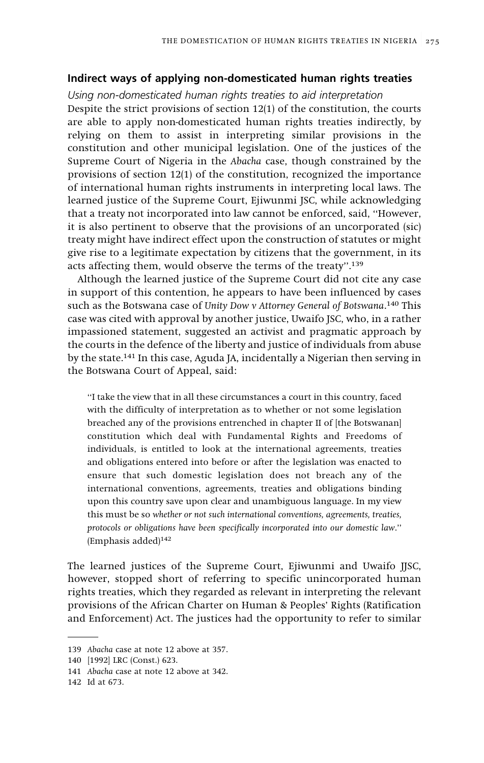## Indirect ways of applying non-domesticated human rights treaties

Using non-domesticated human rights treaties to aid interpretation Despite the strict provisions of section 12(1) of the constitution, the courts are able to apply non-domesticated human rights treaties indirectly, by relying on them to assist in interpreting similar provisions in the constitution and other municipal legislation. One of the justices of the Supreme Court of Nigeria in the Abacha case, though constrained by the provisions of section 12(1) of the constitution, recognized the importance of international human rights instruments in interpreting local laws. The learned justice of the Supreme Court, Ejiwunmi JSC, while acknowledging that a treaty not incorporated into law cannot be enforced, said, ''However, it is also pertinent to observe that the provisions of an uncorporated (sic) treaty might have indirect effect upon the construction of statutes or might give rise to a legitimate expectation by citizens that the government, in its acts affecting them, would observe the terms of the treaty''.<sup>139</sup>

Although the learned justice of the Supreme Court did not cite any case in support of this contention, he appears to have been influenced by cases such as the Botswana case of Unity Dow v Attorney General of Botswana.<sup>140</sup> This case was cited with approval by another justice, Uwaifo JSC, who, in a rather impassioned statement, suggested an activist and pragmatic approach by the courts in the defence of the liberty and justice of individuals from abuse by the state.141 In this case, Aguda JA, incidentally a Nigerian then serving in the Botswana Court of Appeal, said:

''I take the view that in all these circumstances a court in this country, faced with the difficulty of interpretation as to whether or not some legislation breached any of the provisions entrenched in chapter II of [the Botswanan] constitution which deal with Fundamental Rights and Freedoms of individuals, is entitled to look at the international agreements, treaties and obligations entered into before or after the legislation was enacted to ensure that such domestic legislation does not breach any of the international conventions, agreements, treaties and obligations binding upon this country save upon clear and unambiguous language. In my view this must be so whether or not such international conventions, agreements, treaties, protocols or obligations have been specifically incorporated into our domestic law.'' (Emphasis added)<sup>142</sup>

The learned justices of the Supreme Court, Ejiwunmi and Uwaifo JJSC, however, stopped short of referring to specific unincorporated human rights treaties, which they regarded as relevant in interpreting the relevant provisions of the African Charter on Human & Peoples' Rights (Ratification and Enforcement) Act. The justices had the opportunity to refer to similar

<sup>139</sup> Abacha case at note 12 above at 357.

<sup>140 [1992]</sup> LRC (Const.) 623.

<sup>141</sup> Abacha case at note 12 above at 342.

<sup>142</sup> Id at 673.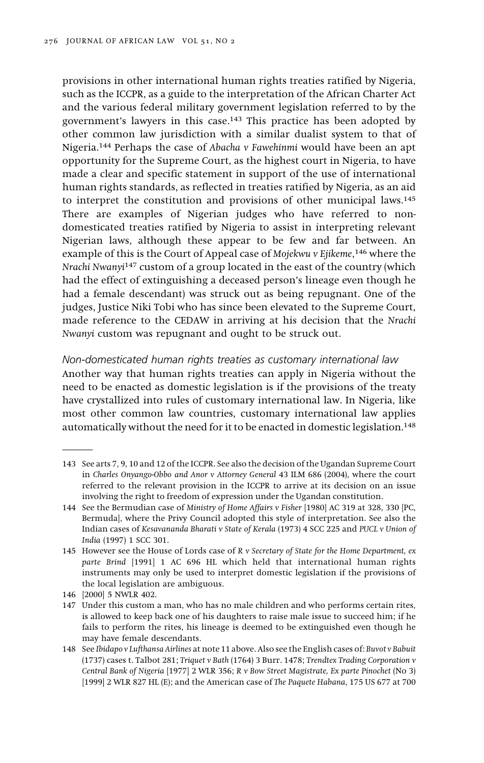provisions in other international human rights treaties ratified by Nigeria, such as the ICCPR, as a guide to the interpretation of the African Charter Act and the various federal military government legislation referred to by the government's lawyers in this case.<sup>143</sup> This practice has been adopted by other common law jurisdiction with a similar dualist system to that of Nigeria.144 Perhaps the case of Abacha v Fawehinmi would have been an apt opportunity for the Supreme Court, as the highest court in Nigeria, to have made a clear and specific statement in support of the use of international human rights standards, as reflected in treaties ratified by Nigeria, as an aid to interpret the constitution and provisions of other municipal laws.145 There are examples of Nigerian judges who have referred to nondomesticated treaties ratified by Nigeria to assist in interpreting relevant Nigerian laws, although these appear to be few and far between. An example of this is the Court of Appeal case of Mojekwu v Ejikeme,<sup>146</sup> where the Nrachi Nwanyi<sup>147</sup> custom of a group located in the east of the country (which had the effect of extinguishing a deceased person's lineage even though he had a female descendant) was struck out as being repugnant. One of the judges, Justice Niki Tobi who has since been elevated to the Supreme Court, made reference to the CEDAW in arriving at his decision that the Nrachi Nwanyi custom was repugnant and ought to be struck out.

#### Non-domesticated human rights treaties as customary international law

Another way that human rights treaties can apply in Nigeria without the need to be enacted as domestic legislation is if the provisions of the treaty have crystallized into rules of customary international law. In Nigeria, like most other common law countries, customary international law applies automatically without the need for it to be enacted in domestic legislation.148

<sup>143</sup> See arts 7, 9, 10 and 12 of the ICCPR. See also the decision of the Ugandan Supreme Court in Charles Onyango-Obbo and Anor v Attorney General 43 ILM 686 (2004), where the court referred to the relevant provision in the ICCPR to arrive at its decision on an issue involving the right to freedom of expression under the Ugandan constitution.

<sup>144</sup> See the Bermudian case of Ministry of Home Affairs v Fisher [1980] AC 319 at 328, 330 [PC, Bermuda], where the Privy Council adopted this style of interpretation. See also the Indian cases of Kesavananda Bharati v State of Kerala (1973) 4 SCC 225 and PUCL v Union of India (1997) 1 SCC 301.

<sup>145</sup> However see the House of Lords case of R v Secretary of State for the Home Department, ex parte Brind [1991] 1 AC 696 HL which held that international human rights instruments may only be used to interpret domestic legislation if the provisions of the local legislation are ambiguous.

<sup>146 [2000] 5</sup> NWLR 402.

<sup>147</sup> Under this custom a man, who has no male children and who performs certain rites, is allowed to keep back one of his daughters to raise male issue to succeed him; if he fails to perform the rites, his lineage is deemed to be extinguished even though he may have female descendants.

<sup>148</sup> See Ibidapo v Lufthansa Airlines at note 11 above. Also see the English cases of: Buvot v Babuit (1737) cases t. Talbot 281; Triquet v Bath (1764) 3 Burr. 1478; Trendtex Trading Corporation v Central Bank of Nigeria [1977] 2 WLR 356; R v Bow Street Magistrate, Ex parte Pinochet (No 3) [1999] 2 WLR 827 HL (E); and the American case of The Paquete Habana, 175 US 677 at 700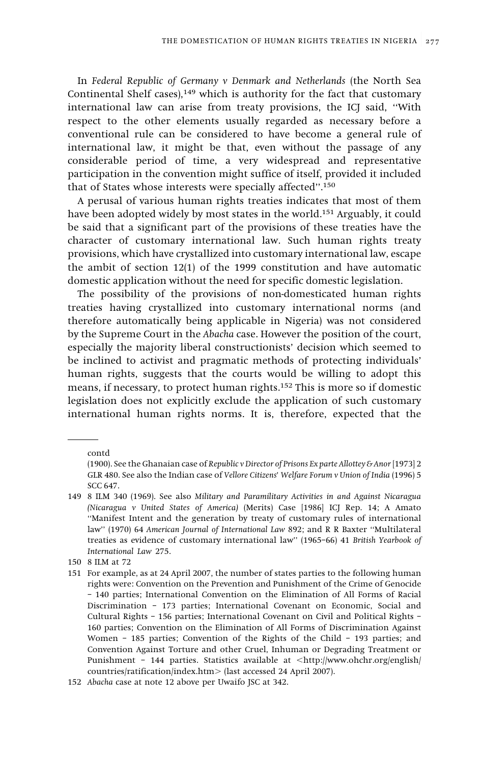In Federal Republic of Germany v Denmark and Netherlands (the North Sea Continental Shelf cases), $149$  which is authority for the fact that customary international law can arise from treaty provisions, the ICJ said, ''With respect to the other elements usually regarded as necessary before a conventional rule can be considered to have become a general rule of international law, it might be that, even without the passage of any considerable period of time, a very widespread and representative participation in the convention might suffice of itself, provided it included that of States whose interests were specially affected''.150

A perusal of various human rights treaties indicates that most of them have been adopted widely by most states in the world.151 Arguably, it could be said that a significant part of the provisions of these treaties have the character of customary international law. Such human rights treaty provisions, which have crystallized into customary international law, escape the ambit of section 12(1) of the 1999 constitution and have automatic domestic application without the need for specific domestic legislation.

The possibility of the provisions of non-domesticated human rights treaties having crystallized into customary international norms (and therefore automatically being applicable in Nigeria) was not considered by the Supreme Court in the Abacha case. However the position of the court, especially the majority liberal constructionists' decision which seemed to be inclined to activist and pragmatic methods of protecting individuals' human rights, suggests that the courts would be willing to adopt this means, if necessary, to protect human rights.<sup>152</sup> This is more so if domestic legislation does not explicitly exclude the application of such customary international human rights norms. It is, therefore, expected that the

contd

<sup>(1900).</sup> See the Ghanaian case of Republic v Director of Prisons Ex parte Allottey & Anor [1973] 2 GLR 480. See also the Indian case of Vellore Citizens' Welfare Forum v Union of India (1996) 5 SCC 647.

<sup>149 8</sup> ILM 340 (1969). See also Military and Paramilitary Activities in and Against Nicaragua (Nicaragua v United States of America) (Merits) Case [1986] ICJ Rep. 14; A Amato ''Manifest Intent and the generation by treaty of customary rules of international law'' (1970) 64 American Journal of International Law 892; and R R Baxter ''Multilateral treaties as evidence of customary international law'' (1965–66) 41 British Yearbook of International Law 275.

<sup>150 8</sup> ILM at 72

<sup>151</sup> For example, as at 24 April 2007, the number of states parties to the following human rights were: Convention on the Prevention and Punishment of the Crime of Genocide – 140 parties; International Convention on the Elimination of All Forms of Racial Discrimination – 173 parties; International Covenant on Economic, Social and Cultural Rights – 156 parties; International Covenant on Civil and Political Rights – 160 parties; Convention on the Elimination of All Forms of Discrimination Against Women – 185 parties; Convention of the Rights of the Child – 193 parties; and Convention Against Torture and other Cruel, Inhuman or Degrading Treatment or Punishment - 144 parties. Statistics available at <http://www.ohchr.org/english/ countries/ratification/index.htm> (last accessed 24 April 2007).

<sup>152</sup> Abacha case at note 12 above per Uwaifo JSC at 342.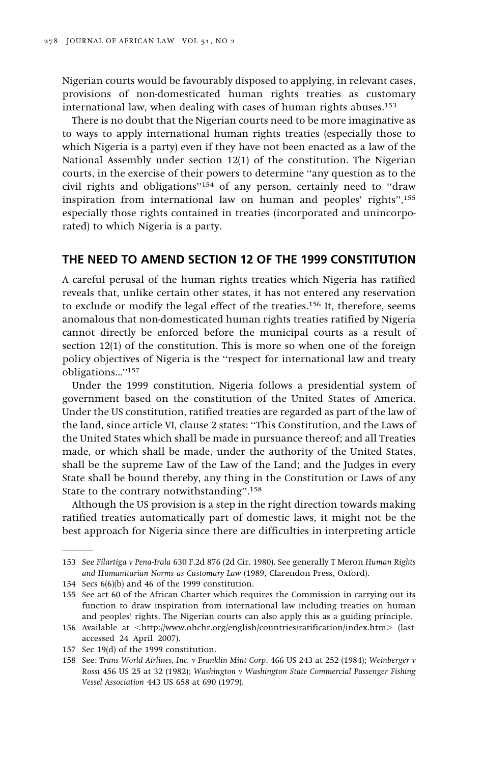Nigerian courts would be favourably disposed to applying, in relevant cases, provisions of non-domesticated human rights treaties as customary international law, when dealing with cases of human rights abuses.153

There is no doubt that the Nigerian courts need to be more imaginative as to ways to apply international human rights treaties (especially those to which Nigeria is a party) even if they have not been enacted as a law of the National Assembly under section 12(1) of the constitution. The Nigerian courts, in the exercise of their powers to determine ''any question as to the civil rights and obligations''<sup>154</sup> of any person, certainly need to ''draw inspiration from international law on human and peoples' rights'',<sup>155</sup> especially those rights contained in treaties (incorporated and unincorporated) to which Nigeria is a party.

### THE NEED TO AMEND SECTION 12 OF THE 1999 CONSTITUTION

A careful perusal of the human rights treaties which Nigeria has ratified reveals that, unlike certain other states, it has not entered any reservation to exclude or modify the legal effect of the treaties.<sup>156</sup> It, therefore, seems anomalous that non-domesticated human rights treaties ratified by Nigeria cannot directly be enforced before the municipal courts as a result of section 12(1) of the constitution. This is more so when one of the foreign policy objectives of Nigeria is the ''respect for international law and treaty obligations…''<sup>157</sup>

Under the 1999 constitution, Nigeria follows a presidential system of government based on the constitution of the United States of America. Under the US constitution, ratified treaties are regarded as part of the law of the land, since article VI, clause 2 states: ''This Constitution, and the Laws of the United States which shall be made in pursuance thereof; and all Treaties made, or which shall be made, under the authority of the United States, shall be the supreme Law of the Law of the Land; and the Judges in every State shall be bound thereby, any thing in the Constitution or Laws of any State to the contrary notwithstanding''.<sup>158</sup>

Although the US provision is a step in the right direction towards making ratified treaties automatically part of domestic laws, it might not be the best approach for Nigeria since there are difficulties in interpreting article

<sup>153</sup> See Filartiga v Pena-Irala 630 F.2d 876 (2d Cir. 1980). See generally T Meron Human Rights and Humanitarian Norms as Customary Law (1989, Clarendon Press, Oxford).

<sup>154</sup> Secs 6(6)(b) and 46 of the 1999 constitution.

<sup>155</sup> See art 60 of the African Charter which requires the Commission in carrying out its function to draw inspiration from international law including treaties on human and peoples' rights. The Nigerian courts can also apply this as a guiding principle.

<sup>156</sup> Available at  $\langle$ http://www.ohchr.org/english/countries/ratification/index.htm $>$  (last accessed 24 April 2007).

<sup>157</sup> Sec 19(d) of the 1999 constitution.

<sup>158</sup> See: Trans World Airlines, Inc. v Franklin Mint Corp. 466 US 243 at 252 (1984); Weinberger v Rossi 456 US 25 at 32 (1982); Washington v Washington State Commercial Passenger Fishing Vessel Association 443 US 658 at 690 (1979).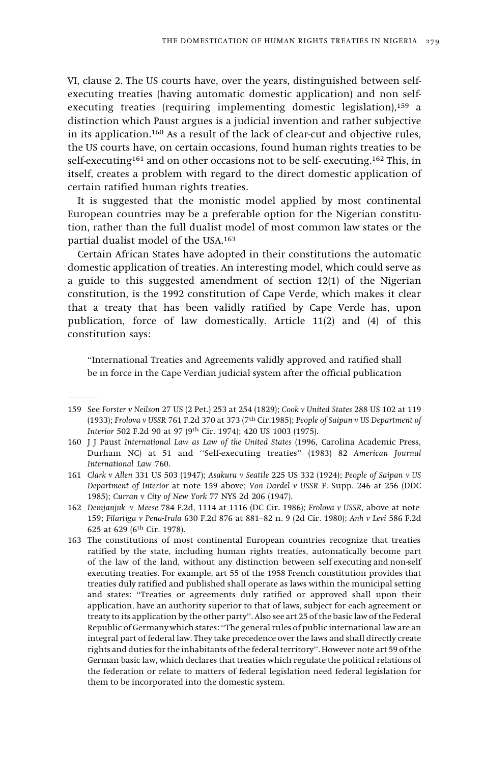VI, clause 2. The US courts have, over the years, distinguished between selfexecuting treaties (having automatic domestic application) and non selfexecuting treaties (requiring implementing domestic legislation),<sup>159</sup> a distinction which Paust argues is a judicial invention and rather subjective in its application.<sup>160</sup> As a result of the lack of clear-cut and objective rules, the US courts have, on certain occasions, found human rights treaties to be self-executing<sup>161</sup> and on other occasions not to be self-executing.<sup>162</sup> This, in itself, creates a problem with regard to the direct domestic application of certain ratified human rights treaties.

It is suggested that the monistic model applied by most continental European countries may be a preferable option for the Nigerian constitution, rather than the full dualist model of most common law states or the partial dualist model of the USA.163

Certain African States have adopted in their constitutions the automatic domestic application of treaties. An interesting model, which could serve as a guide to this suggested amendment of section 12(1) of the Nigerian constitution, is the 1992 constitution of Cape Verde, which makes it clear that a treaty that has been validly ratified by Cape Verde has, upon publication, force of law domestically. Article 11(2) and (4) of this constitution says:

''International Treaties and Agreements validly approved and ratified shall be in force in the Cape Verdian judicial system after the official publication

<sup>159</sup> See Forster v Neilson 27 US (2 Pet.) 253 at 254 (1829); Cook v United States 288 US 102 at 119 (1933); Frolova v USSR 761 F.2d 370 at 373 (7th Cir.1985); People of Saipan v US Department of Interior 502 F.2d 90 at 97 (9th Cir. 1974); 420 US 1003 (1975).

<sup>160</sup> J J Paust International Law as Law of the United States (1996, Carolina Academic Press, Durham NC) at 51 and ''Self-executing treaties'' (1983) 82 American Journal International Law 760.

<sup>161</sup> Clark v Allen 331 US 503 (1947); Asakura v Seattle 225 US 332 (1924); People of Saipan v US Department of Interior at note 159 above; Von Dardel v USSR F. Supp. 246 at 256 (DDC 1985); Curran v City of New York 77 NYS 2d 206 (1947).

<sup>162</sup> Demjanjuk v Meese 784 F.2d, 1114 at 1116 (DC Cir. 1986); Frolova v USSR, above at note 159; Filartiga v Pena-Irala 630 F.2d 876 at 881–82 n. 9 (2d Cir. 1980); Anh v Levi 586 F.2d 625 at 629 (6th Cir. 1978).

<sup>163</sup> The constitutions of most continental European countries recognize that treaties ratified by the state, including human rights treaties, automatically become part of the law of the land, without any distinction between self executing and non-self executing treaties. For example, art 55 of the 1958 French constitution provides that treaties duly ratified and published shall operate as laws within the municipal setting and states: ''Treaties or agreements duly ratified or approved shall upon their application, have an authority superior to that of laws, subject for each agreement or treaty to its application by the other party''. Also see art 25 of the basic law of the Federal Republic of Germany which states: ''The general rules of public international law are an integral part of federal law. They take precedence over the laws and shall directly create rights and duties for the inhabitants of the federal territory''. However note art 59 of the German basic law, which declares that treaties which regulate the political relations of the federation or relate to matters of federal legislation need federal legislation for them to be incorporated into the domestic system.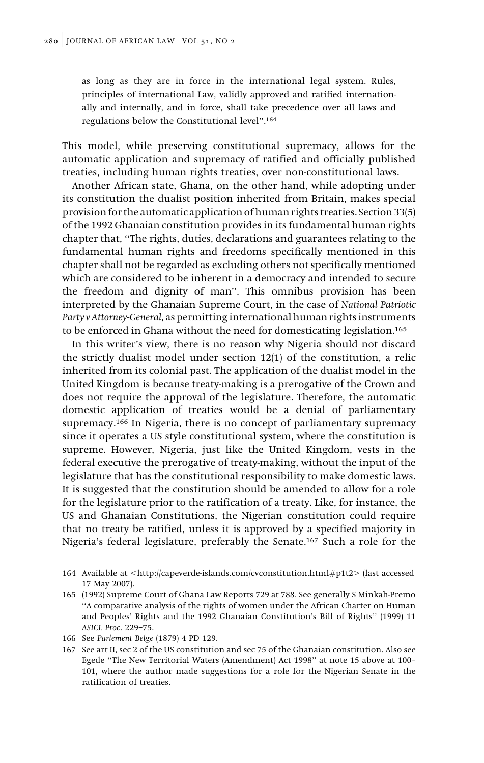as long as they are in force in the international legal system. Rules, principles of international Law, validly approved and ratified internationally and internally, and in force, shall take precedence over all laws and regulations below the Constitutional level''.164

This model, while preserving constitutional supremacy, allows for the automatic application and supremacy of ratified and officially published treaties, including human rights treaties, over non-constitutional laws.

Another African state, Ghana, on the other hand, while adopting under its constitution the dualist position inherited from Britain, makes special provision for the automatic application of human rights treaties. Section 33(5) of the 1992 Ghanaian constitution provides in its fundamental human rights chapter that, ''The rights, duties, declarations and guarantees relating to the fundamental human rights and freedoms specifically mentioned in this chapter shall not be regarded as excluding others not specifically mentioned which are considered to be inherent in a democracy and intended to secure the freedom and dignity of man''. This omnibus provision has been interpreted by the Ghanaian Supreme Court, in the case of National Patriotic Party v Attorney-General, as permitting international human rights instruments to be enforced in Ghana without the need for domesticating legislation.165

In this writer's view, there is no reason why Nigeria should not discard the strictly dualist model under section 12(1) of the constitution, a relic inherited from its colonial past. The application of the dualist model in the United Kingdom is because treaty-making is a prerogative of the Crown and does not require the approval of the legislature. Therefore, the automatic domestic application of treaties would be a denial of parliamentary supremacy.<sup>166</sup> In Nigeria, there is no concept of parliamentary supremacy since it operates a US style constitutional system, where the constitution is supreme. However, Nigeria, just like the United Kingdom, vests in the federal executive the prerogative of treaty-making, without the input of the legislature that has the constitutional responsibility to make domestic laws. It is suggested that the constitution should be amended to allow for a role for the legislature prior to the ratification of a treaty. Like, for instance, the US and Ghanaian Constitutions, the Nigerian constitution could require that no treaty be ratified, unless it is approved by a specified majority in Nigeria's federal legislature, preferably the Senate.167 Such a role for the

<sup>164</sup> Available at <http://capeverde-islands.com/cvconstitution.html#p1t2> (last accessed 17 May 2007).

<sup>165 (1992)</sup> Supreme Court of Ghana Law Reports 729 at 788. See generally S Minkah-Premo ''A comparative analysis of the rights of women under the African Charter on Human and Peoples' Rights and the 1992 Ghanaian Constitution's Bill of Rights'' (1999) 11 ASICL Proc. 229–75.

<sup>166</sup> See Parlement Belge (1879) 4 PD 129.

<sup>167</sup> See art II, sec 2 of the US constitution and sec 75 of the Ghanaian constitution. Also see Egede ''The New Territorial Waters (Amendment) Act 1998'' at note 15 above at 100– 101, where the author made suggestions for a role for the Nigerian Senate in the ratification of treaties.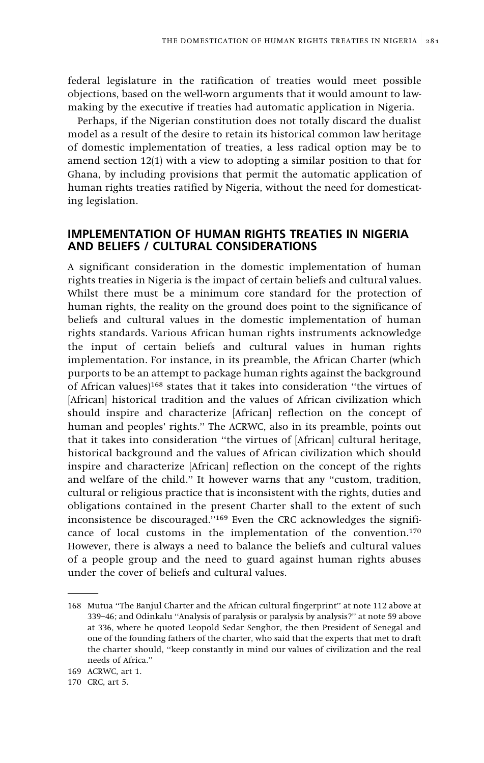federal legislature in the ratification of treaties would meet possible objections, based on the well-worn arguments that it would amount to lawmaking by the executive if treaties had automatic application in Nigeria.

Perhaps, if the Nigerian constitution does not totally discard the dualist model as a result of the desire to retain its historical common law heritage of domestic implementation of treaties, a less radical option may be to amend section 12(1) with a view to adopting a similar position to that for Ghana, by including provisions that permit the automatic application of human rights treaties ratified by Nigeria, without the need for domesticating legislation.

## IMPLEMENTATION OF HUMAN RIGHTS TREATIES IN NIGERIA AND BELIEFS / CULTURAL CONSIDERATIONS

A significant consideration in the domestic implementation of human rights treaties in Nigeria is the impact of certain beliefs and cultural values. Whilst there must be a minimum core standard for the protection of human rights, the reality on the ground does point to the significance of beliefs and cultural values in the domestic implementation of human rights standards. Various African human rights instruments acknowledge the input of certain beliefs and cultural values in human rights implementation. For instance, in its preamble, the African Charter (which purports to be an attempt to package human rights against the background of African values)<sup>168</sup> states that it takes into consideration ''the virtues of [African] historical tradition and the values of African civilization which should inspire and characterize [African] reflection on the concept of human and peoples' rights.'' The ACRWC, also in its preamble, points out that it takes into consideration ''the virtues of [African] cultural heritage, historical background and the values of African civilization which should inspire and characterize [African] reflection on the concept of the rights and welfare of the child.'' It however warns that any ''custom, tradition, cultural or religious practice that is inconsistent with the rights, duties and obligations contained in the present Charter shall to the extent of such inconsistence be discouraged.''<sup>169</sup> Even the CRC acknowledges the significance of local customs in the implementation of the convention.<sup>170</sup> However, there is always a need to balance the beliefs and cultural values of a people group and the need to guard against human rights abuses under the cover of beliefs and cultural values.

<sup>168</sup> Mutua ''The Banjul Charter and the African cultural fingerprint'' at note 112 above at 339–46; and Odinkalu ''Analysis of paralysis or paralysis by analysis?'' at note 59 above at 336, where he quoted Leopold Sedar Senghor, the then President of Senegal and one of the founding fathers of the charter, who said that the experts that met to draft the charter should, ''keep constantly in mind our values of civilization and the real needs of Africa.''

<sup>169</sup> ACRWC, art 1.

<sup>170</sup> CRC, art 5.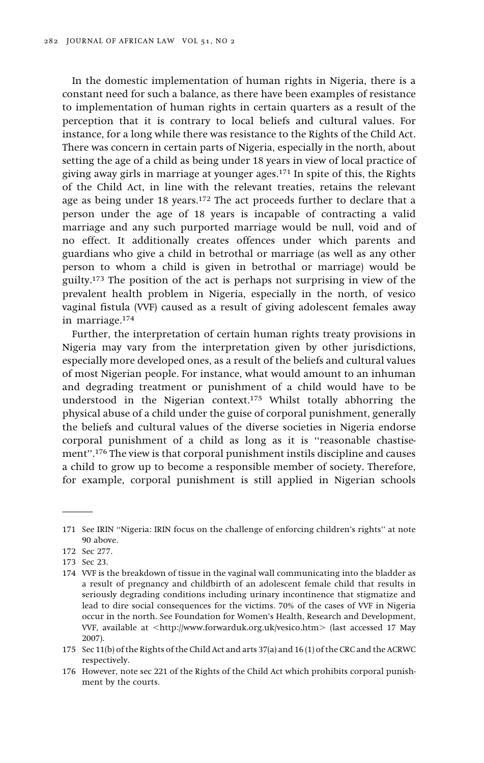In the domestic implementation of human rights in Nigeria, there is a constant need for such a balance, as there have been examples of resistance to implementation of human rights in certain quarters as a result of the perception that it is contrary to local beliefs and cultural values. For instance, for a long while there was resistance to the Rights of the Child Act. There was concern in certain parts of Nigeria, especially in the north, about setting the age of a child as being under 18 years in view of local practice of giving away girls in marriage at younger ages.<sup>171</sup> In spite of this, the Rights of the Child Act, in line with the relevant treaties, retains the relevant age as being under 18 years.<sup>172</sup> The act proceeds further to declare that a person under the age of 18 years is incapable of contracting a valid marriage and any such purported marriage would be null, void and of no effect. It additionally creates offences under which parents and guardians who give a child in betrothal or marriage (as well as any other person to whom a child is given in betrothal or marriage) would be guilty.<sup>173</sup> The position of the act is perhaps not surprising in view of the prevalent health problem in Nigeria, especially in the north, of vesico vaginal fistula (VVF) caused as a result of giving adolescent females away in marriage.<sup>174</sup>

Further, the interpretation of certain human rights treaty provisions in Nigeria may vary from the interpretation given by other jurisdictions, especially more developed ones, as a result of the beliefs and cultural values of most Nigerian people. For instance, what would amount to an inhuman and degrading treatment or punishment of a child would have to be understood in the Nigerian context.175 Whilst totally abhorring the physical abuse of a child under the guise of corporal punishment, generally the beliefs and cultural values of the diverse societies in Nigeria endorse corporal punishment of a child as long as it is ''reasonable chastisement''.<sup>176</sup> The view is that corporal punishment instils discipline and causes a child to grow up to become a responsible member of society. Therefore, for example, corporal punishment is still applied in Nigerian schools

<sup>171</sup> See IRIN ''Nigeria: IRIN focus on the challenge of enforcing children's rights'' at note 90 above.

<sup>172</sup> Sec 277.

<sup>173</sup> Sec 23.

<sup>174</sup> VVF is the breakdown of tissue in the vaginal wall communicating into the bladder as a result of pregnancy and childbirth of an adolescent female child that results in seriously degrading conditions including urinary incontinence that stigmatize and lead to dire social consequences for the victims. 70% of the cases of VVF in Nigeria occur in the north. See Foundation for Women's Health, Research and Development, VVF, available at <http://www.forwarduk.org.uk/vesico.htm> (last accessed 17 May 2007).

<sup>175</sup> Sec 11(b) of the Rights of the Child Act and arts 37(a) and 16 (1) of the CRC and the ACRWC respectively.

<sup>176</sup> However, note sec 221 of the Rights of the Child Act which prohibits corporal punishment by the courts.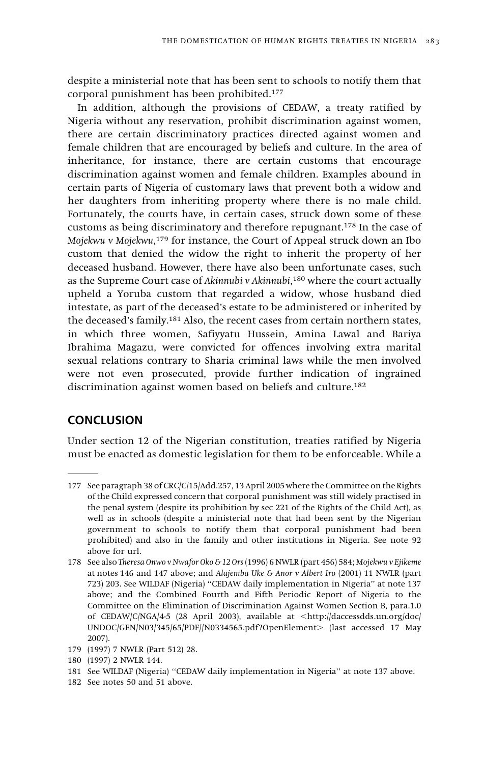despite a ministerial note that has been sent to schools to notify them that corporal punishment has been prohibited.<sup>177</sup>

In addition, although the provisions of CEDAW, a treaty ratified by Nigeria without any reservation, prohibit discrimination against women, there are certain discriminatory practices directed against women and female children that are encouraged by beliefs and culture. In the area of inheritance, for instance, there are certain customs that encourage discrimination against women and female children. Examples abound in certain parts of Nigeria of customary laws that prevent both a widow and her daughters from inheriting property where there is no male child. Fortunately, the courts have, in certain cases, struck down some of these customs as being discriminatory and therefore repugnant.<sup>178</sup> In the case of Mojekwu v Mojekwu,<sup>179</sup> for instance, the Court of Appeal struck down an Ibo custom that denied the widow the right to inherit the property of her deceased husband. However, there have also been unfortunate cases, such as the Supreme Court case of Akinnubi v Akinnubi,<sup>180</sup> where the court actually upheld a Yoruba custom that regarded a widow, whose husband died intestate, as part of the deceased's estate to be administered or inherited by the deceased's family.<sup>181</sup> Also, the recent cases from certain northern states, in which three women, Safiyyatu Hussein, Amina Lawal and Bariya Ibrahima Magazu, were convicted for offences involving extra marital sexual relations contrary to Sharia criminal laws while the men involved were not even prosecuted, provide further indication of ingrained discrimination against women based on beliefs and culture.182

# **CONCLUSION**

Under section 12 of the Nigerian constitution, treaties ratified by Nigeria must be enacted as domestic legislation for them to be enforceable. While a

182 See notes 50 and 51 above.

<sup>177</sup> See paragraph 38 of CRC/C/15/Add.257, 13 April 2005 where the Committee on the Rights of the Child expressed concern that corporal punishment was still widely practised in the penal system (despite its prohibition by sec 221 of the Rights of the Child Act), as well as in schools (despite a ministerial note that had been sent by the Nigerian government to schools to notify them that corporal punishment had been prohibited) and also in the family and other institutions in Nigeria. See note 92 above for url.

<sup>178</sup> See also Theresa Onwo v Nwafor Oko & 12 Ors (1996) 6 NWLR (part 456) 584; Mojekwu v Ejikeme at notes 146 and 147 above; and Alajemba Uke & Anor v Albert Iro (2001) 11 NWLR (part 723) 203. See WILDAF (Nigeria) ''CEDAW daily implementation in Nigeria'' at note 137 above; and the Combined Fourth and Fifth Periodic Report of Nigeria to the Committee on the Elimination of Discrimination Against Women Section B, para.1.0 of CEDAW/C/NGA/4-5 (28 April 2003), available at <http://daccessdds.un.org/doc/ UNDOC/GEN/N03/345/65/PDF//N0334565.pdf?OpenElement> (last accessed 17 May 2007).

<sup>179 (1997) 7</sup> NWLR (Part 512) 28.

<sup>180 (1997) 2</sup> NWLR 144.

<sup>181</sup> See WILDAF (Nigeria) ''CEDAW daily implementation in Nigeria'' at note 137 above.